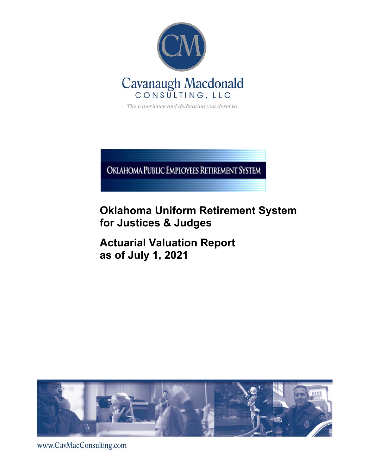

The experience and dedication you deserve

OKIAHOMA PUBLIC EMPLOYEES RETIREMENT SYSTEM

# **Oklahoma Uniform Retirement System for Justices & Judges**

**Actuarial Valuation Report as of July 1, 2021** 



www.CavMacConsulting.com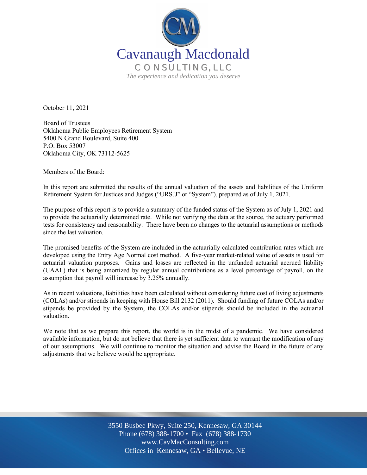

October 11, 2021

Board of Trustees Oklahoma Public Employees Retirement System 5400 N Grand Boulevard, Suite 400 P.O. Box 53007 Oklahoma City, OK 73112-5625

Members of the Board:

In this report are submitted the results of the annual valuation of the assets and liabilities of the Uniform Retirement System for Justices and Judges ("URSJJ" or "System"), prepared as of July 1, 2021.

The purpose of this report is to provide a summary of the funded status of the System as of July 1, 2021 and to provide the actuarially determined rate. While not verifying the data at the source, the actuary performed tests for consistency and reasonability. There have been no changes to the actuarial assumptions or methods since the last valuation.

The promised benefits of the System are included in the actuarially calculated contribution rates which are developed using the Entry Age Normal cost method. A five-year market-related value of assets is used for actuarial valuation purposes. Gains and losses are reflected in the unfunded actuarial accrued liability (UAAL) that is being amortized by regular annual contributions as a level percentage of payroll, on the assumption that payroll will increase by 3.25% annually.

As in recent valuations, liabilities have been calculated without considering future cost of living adjustments (COLAs) and/or stipends in keeping with House Bill 2132 (2011). Should funding of future COLAs and/or stipends be provided by the System, the COLAs and/or stipends should be included in the actuarial valuation.

We note that as we prepare this report, the world is in the midst of a pandemic. We have considered available information, but do not believe that there is yet sufficient data to warrant the modification of any of our assumptions. We will continue to monitor the situation and advise the Board in the future of any adjustments that we believe would be appropriate.

> Off Offices in Kennesaw, GA • Bellevue, NE 3550 Busbee Pkwy, Suite 250, Kennesaw, GA 30144 Phone (678) 388-1700 • Fax (678) 388-1730 www.CavMacConsulting.com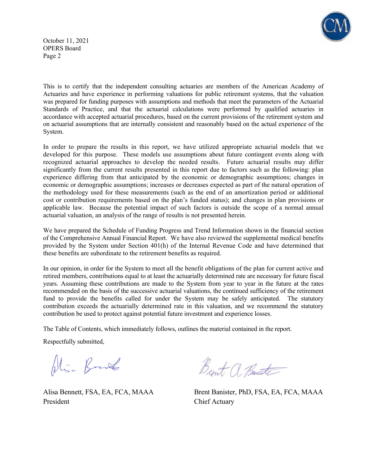

October 11, 2021 OPERS Board Page 2

This is to certify that the independent consulting actuaries are members of the American Academy of Actuaries and have experience in performing valuations for public retirement systems, that the valuation was prepared for funding purposes with assumptions and methods that meet the parameters of the Actuarial Standards of Practice, and that the actuarial calculations were performed by qualified actuaries in accordance with accepted actuarial procedures, based on the current provisions of the retirement system and on actuarial assumptions that are internally consistent and reasonably based on the actual experience of the System.

In order to prepare the results in this report, we have utilized appropriate actuarial models that we developed for this purpose. These models use assumptions about future contingent events along with recognized actuarial approaches to develop the needed results. Future actuarial results may differ significantly from the current results presented in this report due to factors such as the following: plan experience differing from that anticipated by the economic or demographic assumptions; changes in economic or demographic assumptions; increases or decreases expected as part of the natural operation of the methodology used for these measurements (such as the end of an amortization period or additional cost or contribution requirements based on the plan's funded status); and changes in plan provisions or applicable law. Because the potential impact of such factors is outside the scope of a normal annual actuarial valuation, an analysis of the range of results is not presented herein.

We have prepared the Schedule of Funding Progress and Trend Information shown in the financial section of the Comprehensive Annual Financial Report. We have also reviewed the supplemental medical benefits provided by the System under Section 401(h) of the Internal Revenue Code and have determined that these benefits are subordinate to the retirement benefits as required.

In our opinion, in order for the System to meet all the benefit obligations of the plan for current active and retired members, contributions equal to at least the actuarially determined rate are necessary for future fiscal years. Assuming these contributions are made to the System from year to year in the future at the rates recommended on the basis of the successive actuarial valuations, the continued sufficiency of the retirement fund to provide the benefits called for under the System may be safely anticipated. The statutory contribution exceeds the actuarially determined rate in this valuation, and we recommend the statutory contribution be used to protect against potential future investment and experience losses.

The Table of Contents, which immediately follows, outlines the material contained in the report.

Respectfully submitted,

Alia Bank

President Chief Actuary

Brent a Banate

Alisa Bennett, FSA, EA, FCA, MAAA Brent Banister, PhD, FSA, EA, FCA, MAAA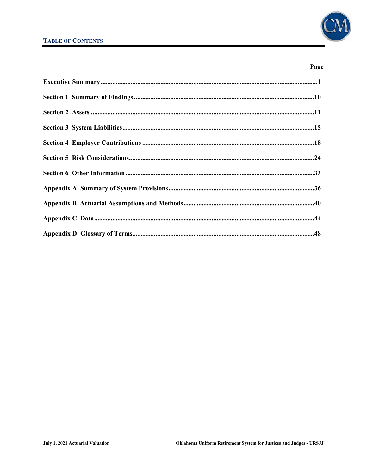

## Page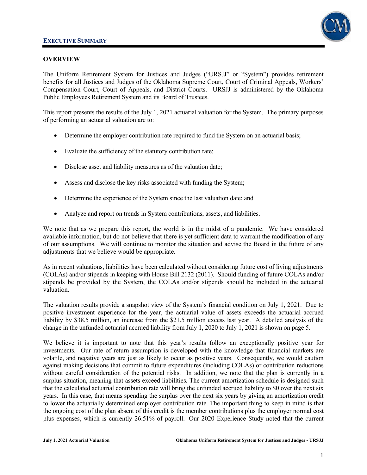

### **OVERVIEW**

The Uniform Retirement System for Justices and Judges ("URSJJ" or "System") provides retirement benefits for all Justices and Judges of the Oklahoma Supreme Court, Court of Criminal Appeals, Workers' Compensation Court, Court of Appeals, and District Courts. URSJJ is administered by the Oklahoma Public Employees Retirement System and its Board of Trustees.

This report presents the results of the July 1, 2021 actuarial valuation for the System. The primary purposes of performing an actuarial valuation are to:

- Determine the employer contribution rate required to fund the System on an actuarial basis;
- Evaluate the sufficiency of the statutory contribution rate;
- Disclose asset and liability measures as of the valuation date;
- Assess and disclose the key risks associated with funding the System;
- Determine the experience of the System since the last valuation date; and
- Analyze and report on trends in System contributions, assets, and liabilities.

We note that as we prepare this report, the world is in the midst of a pandemic. We have considered available information, but do not believe that there is yet sufficient data to warrant the modification of any of our assumptions. We will continue to monitor the situation and advise the Board in the future of any adjustments that we believe would be appropriate.

As in recent valuations, liabilities have been calculated without considering future cost of living adjustments (COLAs) and/or stipends in keeping with House Bill 2132 (2011). Should funding of future COLAs and/or stipends be provided by the System, the COLAs and/or stipends should be included in the actuarial valuation.

The valuation results provide a snapshot view of the System's financial condition on July 1, 2021. Due to positive investment experience for the year, the actuarial value of assets exceeds the actuarial accrued liability by \$38.5 million, an increase from the \$21.5 million excess last year. A detailed analysis of the change in the unfunded actuarial accrued liability from July 1, 2020 to July 1, 2021 is shown on page 5.

We believe it is important to note that this year's results follow an exceptionally positive year for investments. Our rate of return assumption is developed with the knowledge that financial markets are volatile, and negative years are just as likely to occur as positive years. Consequently, we would caution against making decisions that commit to future expenditures (including COLAs) or contribution reductions without careful consideration of the potential risks. In addition, we note that the plan is currently in a surplus situation, meaning that assets exceed liabilities. The current amortization schedule is designed such that the calculated actuarial contribution rate will bring the unfunded accrued liability to \$0 over the next six years. In this case, that means spending the surplus over the next six years by giving an amortization credit to lower the actuarially determined employer contribution rate. The important thing to keep in mind is that the ongoing cost of the plan absent of this credit is the member contributions plus the employer normal cost plus expenses, which is currently 26.51% of payroll. Our 2020 Experience Study noted that the current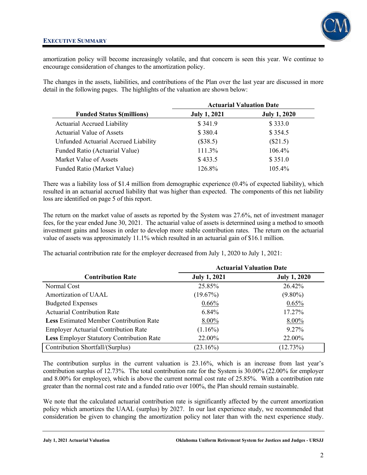

amortization policy will become increasingly volatile, and that concern is seen this year. We continue to encourage consideration of changes to the amortization policy.

The changes in the assets, liabilities, and contributions of the Plan over the last year are discussed in more detail in the following pages. The highlights of the valuation are shown below:

|                                      |                     | <b>Actuarial Valuation Date</b> |
|--------------------------------------|---------------------|---------------------------------|
| <b>Funded Status \$(millions)</b>    | <b>July 1, 2021</b> | <b>July 1, 2020</b>             |
| <b>Actuarial Accrued Liability</b>   | \$341.9             | \$333.0                         |
| Actuarial Value of Assets            | \$380.4             | \$354.5                         |
| Unfunded Actuarial Accrued Liability | (\$38.5)            | $(\$21.5)$                      |
| Funded Ratio (Actuarial Value)       | 111.3%              | 106.4%                          |
| Market Value of Assets               | \$433.5             | \$351.0                         |
| Funded Ratio (Market Value)          | 126.8%              | 105.4%                          |

There was a liability loss of \$1.4 million from demographic experience (0.4% of expected liability), which resulted in an actuarial accrued liability that was higher than expected. The components of this net liability loss are identified on page 5 of this report.

The return on the market value of assets as reported by the System was 27.6%, net of investment manager fees, for the year ended June 30, 2021. The actuarial value of assets is determined using a method to smooth investment gains and losses in order to develop more stable contribution rates. The return on the actuarial value of assets was approximately 11.1% which resulted in an actuarial gain of \$16.1 million.

The actuarial contribution rate for the employer decreased from July 1, 2020 to July 1, 2021:

|                                                  | <b>Actuarial Valuation Date</b> |                     |  |  |  |
|--------------------------------------------------|---------------------------------|---------------------|--|--|--|
| <b>Contribution Rate</b>                         | <b>July 1, 2021</b>             | <b>July 1, 2020</b> |  |  |  |
| Normal Cost                                      | 25.85%                          | 26.42%              |  |  |  |
| Amortization of UAAL                             | (19.67%)                        | $(9.80\%)$          |  |  |  |
| <b>Budgeted Expenses</b>                         | $0.66\%$                        | 0.65%               |  |  |  |
| <b>Actuarial Contribution Rate</b>               | 6.84%                           | 17.27%              |  |  |  |
| <b>Less Estimated Member Contribution Rate</b>   | 8.00%                           | 8.00%               |  |  |  |
| <b>Employer Actuarial Contribution Rate</b>      | $(1.16\%)$                      | 9.27%               |  |  |  |
| <b>Less Employer Statutory Contribution Rate</b> | 22.00%                          | 22.00%              |  |  |  |
| Contribution Shortfall/(Surplus)                 | $(23.16\%)$                     | (12.73%)            |  |  |  |

The contribution surplus in the current valuation is 23.16%, which is an increase from last year's contribution surplus of 12.73%. The total contribution rate for the System is 30.00% (22.00% for employer and 8.00% for employee), which is above the current normal cost rate of 25.85%. With a contribution rate greater than the normal cost rate and a funded ratio over 100%, the Plan should remain sustainable.

We note that the calculated actuarial contribution rate is significantly affected by the current amortization policy which amortizes the UAAL (surplus) by 2027. In our last experience study, we recommended that consideration be given to changing the amortization policy not later than with the next experience study.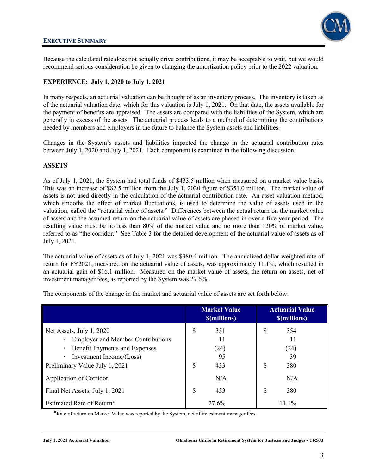

Because the calculated rate does not actually drive contributions, it may be acceptable to wait, but we would recommend serious consideration be given to changing the amortization policy prior to the 2022 valuation.

### **EXPERIENCE: July 1, 2020 to July 1, 2021**

In many respects, an actuarial valuation can be thought of as an inventory process. The inventory is taken as of the actuarial valuation date, which for this valuation is July 1, 2021. On that date, the assets available for the payment of benefits are appraised. The assets are compared with the liabilities of the System, which are generally in excess of the assets. The actuarial process leads to a method of determining the contributions needed by members and employers in the future to balance the System assets and liabilities.

Changes in the System's assets and liabilities impacted the change in the actuarial contribution rates between July 1, 2020 and July 1, 2021. Each component is examined in the following discussion.

### **ASSETS**

As of July 1, 2021, the System had total funds of \$433.5 million when measured on a market value basis. This was an increase of \$82.5 million from the July 1, 2020 figure of \$351.0 million. The market value of assets is not used directly in the calculation of the actuarial contribution rate. An asset valuation method, which smooths the effect of market fluctuations, is used to determine the value of assets used in the valuation, called the "actuarial value of assets." Differences between the actual return on the market value of assets and the assumed return on the actuarial value of assets are phased in over a five-year period. The resulting value must be no less than 80% of the market value and no more than 120% of market value, referred to as "the corridor." See Table 3 for the detailed development of the actuarial value of assets as of July 1, 2021.

The actuarial value of assets as of July 1, 2021 was \$380.4 million. The annualized dollar-weighted rate of return for FY2021, measured on the actuarial value of assets, was approximately 11.1%, which resulted in an actuarial gain of \$16.1 million. Measured on the market value of assets, the return on assets, net of investment manager fees, as reported by the System was 27.6%.

|                                                                                                                                                                            | <b>Market Value</b><br><b><i><u>S(millions)</u></i></b> | <b>Actuarial Value</b><br><b>S(millions)</b>      |
|----------------------------------------------------------------------------------------------------------------------------------------------------------------------------|---------------------------------------------------------|---------------------------------------------------|
| Net Assets, July 1, 2020<br><b>Employer and Member Contributions</b><br><b>Benefit Payments and Expenses</b><br>Investment Income/(Loss)<br>Preliminary Value July 1, 2021 | S<br>351<br>11<br>(24)<br>95<br>S<br>433                | \$<br>354<br>11<br>(24)<br><u>39</u><br>\$<br>380 |
| Application of Corridor<br>Final Net Assets, July 1, 2021                                                                                                                  | N/A<br>S<br>433                                         | N/A<br>\$<br>380                                  |
| <b>Estimated Rate of Return*</b>                                                                                                                                           | 27.6%                                                   | 11.1%                                             |

The components of the change in the market and actuarial value of assets are set forth below:

\*Rate of return on Market Value was reported by the System, net of investment manager fees.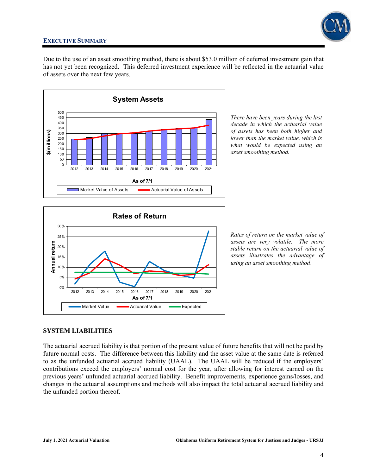

Due to the use of an asset smoothing method, there is about \$53.0 million of deferred investment gain that has not yet been recognized. This deferred investment experience will be reflected in the actuarial value of assets over the next few years.



*There have been years during the last decade in which the actuarial value of assets has been both higher and lower than the market value, which is what would be expected using an asset smoothing method.* 



*Rates of return on the market value of assets are very volatile. The more stable return on the actuarial value of assets illustrates the advantage of using an asset smoothing method*.

### **SYSTEM LIABILITIES**

The actuarial accrued liability is that portion of the present value of future benefits that will not be paid by future normal costs. The difference between this liability and the asset value at the same date is referred to as the unfunded actuarial accrued liability (UAAL). The UAAL will be reduced if the employers' contributions exceed the employers' normal cost for the year, after allowing for interest earned on the previous years' unfunded actuarial accrued liability. Benefit improvements, experience gains/losses, and changes in the actuarial assumptions and methods will also impact the total actuarial accrued liability and the unfunded portion thereof.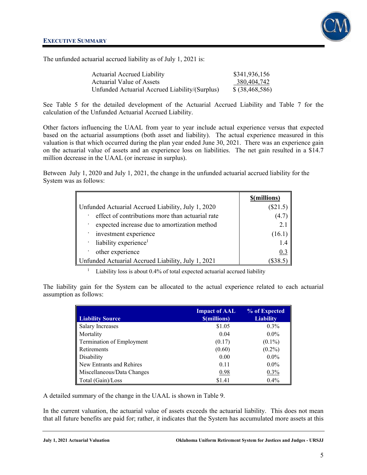The unfunded actuarial accrued liability as of July 1, 2021 is:

| <b>Actuarial Accrued Liability</b>             | \$341,936,156     |
|------------------------------------------------|-------------------|
| Actuarial Value of Assets                      | 380,404,742       |
| Unfunded Actuarial Accrued Liability/(Surplus) | \$ (38, 468, 586) |

See Table 5 for the detailed development of the Actuarial Accrued Liability and Table 7 for the calculation of the Unfunded Actuarial Accrued Liability.

Other factors influencing the UAAL from year to year include actual experience versus that expected based on the actuarial assumptions (both asset and liability). The actual experience measured in this valuation is that which occurred during the plan year ended June 30, 2021. There was an experience gain on the actuarial value of assets and an experience loss on liabilities. The net gain resulted in a \$14.7 million decrease in the UAAL (or increase in surplus).

Between July 1, 2020 and July 1, 2021, the change in the unfunded actuarial accrued liability for the System was as follows:

|                                                    | \$(millions) |
|----------------------------------------------------|--------------|
| Unfunded Actuarial Accrued Liability, July 1, 2020 | $(\$21.3$    |
| effect of contributions more than actuarial rate   |              |
| expected increase due to amortization method       | 2.1          |
| investment experience                              | (16.1)       |
| $\cdot$ liability experience <sup>1</sup>          | 1.4          |
| other experience                                   | 0.3          |
| Unfunded Actuarial Accrued Liability, July 1, 2021 |              |

1 Liability loss is about 0.4% of total expected actuarial accrued liability

The liability gain for the System can be allocated to the actual experience related to each actuarial assumption as follows:

| <b>Liability Source</b>    | <b>Impact of AAL</b><br><b><i><u>S(millions)</u></i></b> | % of Expected<br><b>Liability</b> |
|----------------------------|----------------------------------------------------------|-----------------------------------|
| <b>Salary Increases</b>    | \$1.05                                                   | $0.3\%$                           |
| Mortality                  | 0.04                                                     | $0.0\%$                           |
| Termination of Employment  | (0.17)                                                   | $(0.1\%)$                         |
| Retirements                | (0.60)                                                   | $(0.2\%)$                         |
| Disability                 | 0.00                                                     | $0.0\%$                           |
| New Entrants and Rehires   | 0.11                                                     | $0.0\%$                           |
| Miscellaneous/Data Changes | 0.98                                                     | 0.3%                              |
| Total (Gain)/Loss          | \$1.41                                                   | 0.4%                              |

A detailed summary of the change in the UAAL is shown in Table 9.

In the current valuation, the actuarial value of assets exceeds the actuarial liability. This does not mean that all future benefits are paid for; rather, it indicates that the System has accumulated more assets at this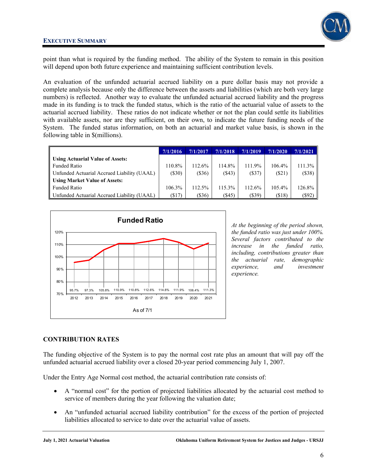

point than what is required by the funding method. The ability of the System to remain in this position will depend upon both future experience and maintaining sufficient contribution levels.

An evaluation of the unfunded actuarial accrued liability on a pure dollar basis may not provide a complete analysis because only the difference between the assets and liabilities (which are both very large numbers) is reflected. Another way to evaluate the unfunded actuarial accrued liability and the progress made in its funding is to track the funded status, which is the ratio of the actuarial value of assets to the actuarial accrued liability. These ratios do not indicate whether or not the plan could settle its liabilities with available assets, nor are they sufficient, on their own, to indicate the future funding needs of the System. The funded status information, on both an actuarial and market value basis, is shown in the following table in \$(millions).

|                                             | 7/1/2016  | 7/1/2017  | 7/1/2018  | 7/1/2019 | 7/1/2020  | 7/1/2021  |
|---------------------------------------------|-----------|-----------|-----------|----------|-----------|-----------|
| Using Actuarial Value of Assets:            |           |           |           |          |           |           |
| Funded Ratio                                | 110.8%    | $112.6\%$ | 114.8%    | 111.9%   | 106.4%    | $111.3\%$ |
| Unfunded Actuarial Accrued Liability (UAAL) | (S30)     | (S36)     | $($ \$43) | (S37)    | $(\$21)$  | (S38)     |
| Using Market Value of Assets:               |           |           |           |          |           |           |
| Funded Ratio                                | $106.3\%$ | $112.5\%$ | 115.3%    | 112.6%   | $105.4\%$ | $126.8\%$ |
| Unfunded Actuarial Accrued Liability (UAAL) | $($ \$17) | $(\$36)$  | $($ \$45) | (\$39)   | ( \$18)   | (\$92)    |



*At the beginning of the period shown, the funded ratio was just under 100%. Several factors contributed to the increase in the funded ratio, including, contributions greater than the actuarial rate, demographic experience, and investment experience.* 

### **CONTRIBUTION RATES**

The funding objective of the System is to pay the normal cost rate plus an amount that will pay off the unfunded actuarial accrued liability over a closed 20-year period commencing July 1, 2007.

Under the Entry Age Normal cost method, the actuarial contribution rate consists of:

- A "normal cost" for the portion of projected liabilities allocated by the actuarial cost method to service of members during the year following the valuation date;
- An "unfunded actuarial accrued liability contribution" for the excess of the portion of projected liabilities allocated to service to date over the actuarial value of assets.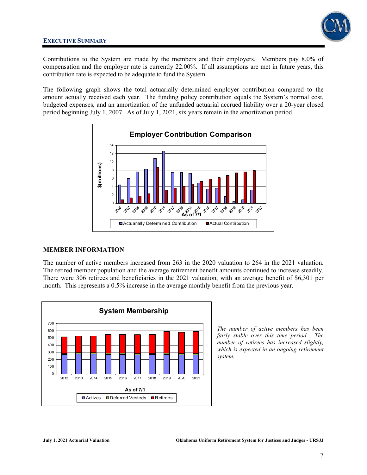

Contributions to the System are made by the members and their employers. Members pay 8.0% of compensation and the employer rate is currently 22.00%. If all assumptions are met in future years, this contribution rate is expected to be adequate to fund the System.

The following graph shows the total actuarially determined employer contribution compared to the amount actually received each year. The funding policy contribution equals the System's normal cost, budgeted expenses, and an amortization of the unfunded actuarial accrued liability over a 20-year closed period beginning July 1, 2007. As of July 1, 2021, six years remain in the amortization period.



### **MEMBER INFORMATION**

The number of active members increased from 263 in the 2020 valuation to 264 in the 2021 valuation. The retired member population and the average retirement benefit amounts continued to increase steadily. There were 306 retirees and beneficiaries in the 2021 valuation, with an average benefit of \$6,301 per month. This represents a 0.5% increase in the average monthly benefit from the previous year.



*The number of active members has been fairly stable over this time period. The number of retirees has increased slightly, which is expected in an ongoing retirement system.*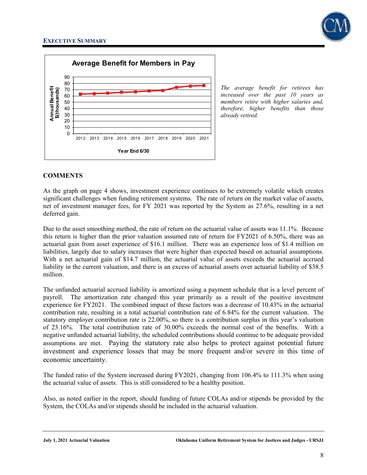



*The average benefit for retirees has increased over the past 10 years as members retire with higher salaries and, therefore, higher benefits than those already retired.* 

### **COMMENTS**

As the graph on page 4 shows, investment experience continues to be extremely volatile which creates significant challenges when funding retirement systems. The rate of return on the market value of assets, net of investment manager fees, for FY 2021 was reported by the System as 27.6%, resulting in a net deferred gain.

Due to the asset smoothing method, the rate of return on the actuarial value of assets was 11.1%. Because this return is higher than the prior valuation assumed rate of return for FY2021 of 6.50%, there was an actuarial gain from asset experience of \$16.1 million. There was an experience loss of \$1.4 million on liabilities, largely due to salary increases that were higher than expected based on actuarial assumptions. With a net actuarial gain of \$14.7 million, the actuarial value of assets exceeds the actuarial accrued liability in the current valuation, and there is an excess of actuarial assets over actuarial liability of \$38.5 million.

The unfunded actuarial accrued liability is amortized using a payment schedule that is a level percent of payroll. The amortization rate changed this year primarily as a result of the positive investment experience for FY2021. The combined impact of these factors was a decrease of 10.43% in the actuarial contribution rate, resulting in a total actuarial contribution rate of 6.84% for the current valuation. The statutory employer contribution rate is 22.00%, so there is a contribution surplus in this year's valuation of 23.16%. The total contribution rate of 30.00% exceeds the normal cost of the benefits. With a negative unfunded actuarial liability, the scheduled contributions should continue to be adequate provided assumptions are met. Paying the statutory rate also helps to protect against potential future investment and experience losses that may be more frequent and/or severe in this time of economic uncertainty.

The funded ratio of the System increased during FY2021, changing from 106.4% to 111.3% when using the actuarial value of assets. This is still considered to be a healthy position.

Also, as noted earlier in the report, should funding of future COLAs and/or stipends be provided by the System, the COLAs and/or stipends should be included in the actuarial valuation.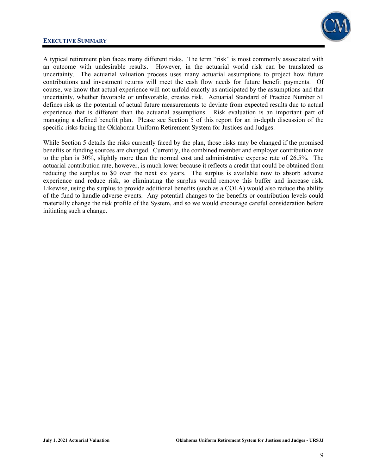

A typical retirement plan faces many different risks. The term "risk" is most commonly associated with an outcome with undesirable results. However, in the actuarial world risk can be translated as uncertainty. The actuarial valuation process uses many actuarial assumptions to project how future contributions and investment returns will meet the cash flow needs for future benefit payments. Of course, we know that actual experience will not unfold exactly as anticipated by the assumptions and that uncertainty, whether favorable or unfavorable, creates risk. Actuarial Standard of Practice Number 51 defines risk as the potential of actual future measurements to deviate from expected results due to actual experience that is different than the actuarial assumptions. Risk evaluation is an important part of managing a defined benefit plan. Please see Section 5 of this report for an in-depth discussion of the specific risks facing the Oklahoma Uniform Retirement System for Justices and Judges.

While Section 5 details the risks currently faced by the plan, those risks may be changed if the promised benefits or funding sources are changed. Currently, the combined member and employer contribution rate to the plan is 30%, slightly more than the normal cost and administrative expense rate of 26.5%. The actuarial contribution rate, however, is much lower because it reflects a credit that could be obtained from reducing the surplus to \$0 over the next six years. The surplus is available now to absorb adverse experience and reduce risk, so eliminating the surplus would remove this buffer and increase risk. Likewise, using the surplus to provide additional benefits (such as a COLA) would also reduce the ability of the fund to handle adverse events. Any potential changes to the benefits or contribution levels could materially change the risk profile of the System, and so we would encourage careful consideration before initiating such a change.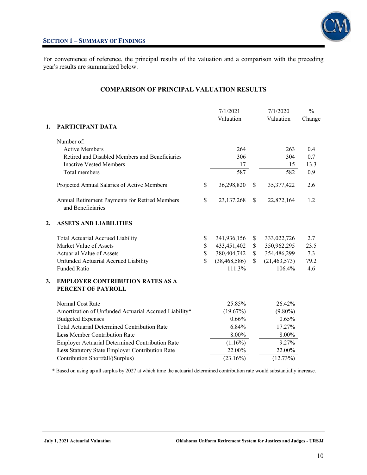

For convenience of reference, the principal results of the valuation and a comparison with the preceding year's results are summarized below.

### **COMPARISON OF PRINCIPAL VALUATION RESULTS**

|    |                                                                     |               | 7/1/2021<br>Valuation | 7/1/2020<br>Valuation | $\frac{0}{0}$<br>Change |
|----|---------------------------------------------------------------------|---------------|-----------------------|-----------------------|-------------------------|
| 1. | PARTICIPANT DATA                                                    |               |                       |                       |                         |
|    | Number of:                                                          |               |                       |                       |                         |
|    | <b>Active Members</b>                                               |               | 264                   | 263                   | 0.4                     |
|    | Retired and Disabled Members and Beneficiaries                      |               | 306                   | 304                   | 0.7                     |
|    | <b>Inactive Vested Members</b>                                      |               | 17                    | 15                    | 13.3                    |
|    | Total members                                                       |               | 587                   | 582                   | 0.9                     |
|    | Projected Annual Salaries of Active Members                         | \$            | 36,298,820            | \$<br>35, 377, 422    | 2.6                     |
|    | Annual Retirement Payments for Retired Members<br>and Beneficiaries | $\mathcal{S}$ | 23, 137, 268          | \$<br>22,872,164      | 1.2                     |
| 2. | <b>ASSETS AND LIABILITIES</b>                                       |               |                       |                       |                         |
|    | <b>Total Actuarial Accrued Liability</b>                            | \$            | 341,936,156           | \$<br>333,022,726     | 2.7                     |
|    | Market Value of Assets                                              | \$            | 433,451,402           | \$<br>350,962,295     | 23.5                    |
|    | <b>Actuarial Value of Assets</b>                                    | \$            | 380,404,742           | \$<br>354,486,299     | 7.3                     |
|    | Unfunded Actuarial Accrued Liability                                | \$            | (38, 468, 586)        | \$<br>(21, 463, 573)  | 79.2                    |
|    | Funded Ratio                                                        |               | 111.3%                | 106.4%                | 4.6                     |
| 3. | <b>EMPLOYER CONTRIBUTION RATES AS A</b><br>PERCENT OF PAYROLL       |               |                       |                       |                         |
|    | Normal Cost Rate                                                    |               | 25.85%                | 26.42%                |                         |
|    | Amortization of Unfunded Actuarial Accrued Liability*               |               | (19.67%)              | $(9.80\%)$            |                         |
|    | <b>Budgeted Expenses</b>                                            |               | 0.66%                 | 0.65%                 |                         |
|    | <b>Total Actuarial Determined Contribution Rate</b>                 |               | 6.84%                 | 17.27%                |                         |
|    | <b>Less Member Contribution Rate</b>                                |               | 8.00%                 | 8.00%                 |                         |
|    | <b>Employer Actuarial Determined Contribution Rate</b>              |               | $(1.16\%)$            | 9.27%                 |                         |
|    | Less Statutory State Employer Contribution Rate                     |               | 22.00%                | 22.00%                |                         |
|    | Contribution Shortfall/(Surplus)                                    |               | (23.16%)              | (12.73%)              |                         |

\* Based on using up all surplus by 2027 at which time the actuarial determined contribution rate would substantially increase.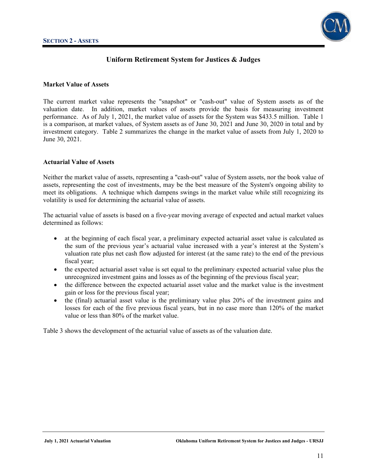

### **Market Value of Assets**

The current market value represents the "snapshot" or "cash-out" value of System assets as of the valuation date. In addition, market values of assets provide the basis for measuring investment performance. As of July 1, 2021, the market value of assets for the System was \$433.5 million. Table 1 is a comparison, at market values, of System assets as of June 30, 2021 and June 30, 2020 in total and by investment category. Table 2 summarizes the change in the market value of assets from July 1, 2020 to June 30, 2021.

#### **Actuarial Value of Assets**

Neither the market value of assets, representing a "cash-out" value of System assets, nor the book value of assets, representing the cost of investments, may be the best measure of the System's ongoing ability to meet its obligations. A technique which dampens swings in the market value while still recognizing its volatility is used for determining the actuarial value of assets.

The actuarial value of assets is based on a five-year moving average of expected and actual market values determined as follows:

- at the beginning of each fiscal year, a preliminary expected actuarial asset value is calculated as the sum of the previous year's actuarial value increased with a year's interest at the System's valuation rate plus net cash flow adjusted for interest (at the same rate) to the end of the previous fiscal year;
- the expected actuarial asset value is set equal to the preliminary expected actuarial value plus the unrecognized investment gains and losses as of the beginning of the previous fiscal year;
- the difference between the expected actuarial asset value and the market value is the investment gain or loss for the previous fiscal year;
- the (final) actuarial asset value is the preliminary value plus 20% of the investment gains and losses for each of the five previous fiscal years, but in no case more than 120% of the market value or less than 80% of the market value.

Table 3 shows the development of the actuarial value of assets as of the valuation date.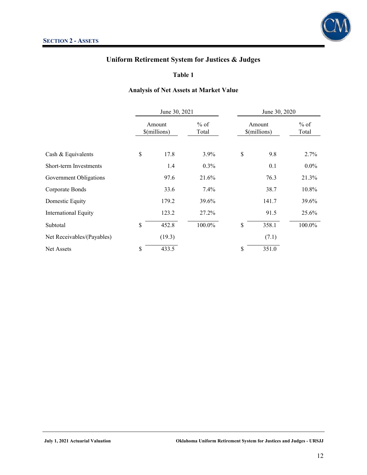

**Table 1** 

### **Analysis of Net Assets at Market Value**

|                             | June 30, 2021          |                 | June 30, 2020          |                 |  |
|-----------------------------|------------------------|-----------------|------------------------|-----------------|--|
|                             | Amount<br>\$(millions) | $%$ of<br>Total | Amount<br>\$(millions) | $%$ of<br>Total |  |
| Cash & Equivalents          | \$<br>17.8             | 3.9%            | \$<br>9.8              | 2.7%            |  |
| Short-term Investments      | 1.4                    | $0.3\%$         | 0.1                    | $0.0\%$         |  |
| Government Obligations      | 97.6                   | 21.6%           | 76.3                   | 21.3%           |  |
| Corporate Bonds             | 33.6                   | 7.4%            | 38.7                   | 10.8%           |  |
| Domestic Equity             | 179.2                  | 39.6%           | 141.7                  | 39.6%           |  |
| <b>International Equity</b> | 123.2                  | 27.2%           | 91.5                   | 25.6%           |  |
| Subtotal                    | \$<br>452.8            | 100.0%          | \$<br>358.1            | 100.0%          |  |
| Net Receivables/(Payables)  | (19.3)                 |                 | (7.1)                  |                 |  |
| <b>Net Assets</b>           | \$<br>433.5            |                 | \$<br>351.0            |                 |  |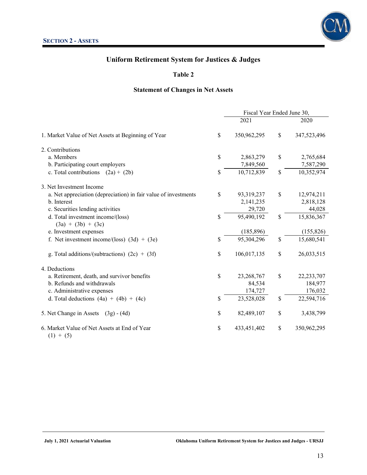

### **Table 2**

### **Statement of Changes in Net Assets**

|                                                                 | Fiscal Year Ended June 30, |              |              |              |
|-----------------------------------------------------------------|----------------------------|--------------|--------------|--------------|
|                                                                 |                            | 2021         |              | 2020         |
| 1. Market Value of Net Assets at Beginning of Year              | \$                         | 350,962,295  | \$           | 347,523,496  |
| 2. Contributions                                                |                            |              |              |              |
| a. Members                                                      | \$                         | 2,863,279    | \$           | 2,765,684    |
| b. Participating court employers                                |                            | 7,849,560    |              | 7,587,290    |
| c. Total contributions<br>$(2a) + (2b)$                         | \$                         | 10,712,839   | \$           | 10,352,974   |
| 3. Net Investment Income                                        |                            |              |              |              |
| a. Net appreciation (depreciation) in fair value of investments | \$                         | 93,319,237   | \$           | 12,974,211   |
| b. Interest                                                     |                            | 2,141,235    |              | 2,818,128    |
| c. Securities lending activities                                |                            | 29,720       |              | 44,028       |
| d. Total investment income/(loss)                               | \$                         | 95,490,192   | \$           | 15,836,367   |
| $(3a) + (3b) + (3c)$                                            |                            |              |              |              |
| e. Investment expenses                                          |                            | (185, 896)   |              | (155, 826)   |
| f. Net investment income/(loss) $(3d) + (3e)$                   | \$                         | 95,304,296   | $\mathbb{S}$ | 15,680,541   |
| g. Total additions/(subtractions) $(2c) + (3f)$                 | \$                         | 106,017,135  | \$           | 26,033,515   |
| 4. Deductions                                                   |                            |              |              |              |
| a. Retirement, death, and survivor benefits                     | \$                         | 23, 268, 767 | \$           | 22, 233, 707 |
| b. Refunds and withdrawals                                      |                            | 84,534       |              | 184,977      |
| c. Administrative expenses                                      |                            | 174,727      |              | 176,032      |
| d. Total deductions $(4a) + (4b) + (4c)$                        | \$                         | 23,528,028   | \$           | 22,594,716   |
| 5. Net Change in Assets<br>$(3g) - (4d)$                        | \$                         | 82,489,107   | \$           | 3,438,799    |
| 6. Market Value of Net Assets at End of Year<br>$(1) + (5)$     | \$                         | 433,451,402  | \$           | 350,962,295  |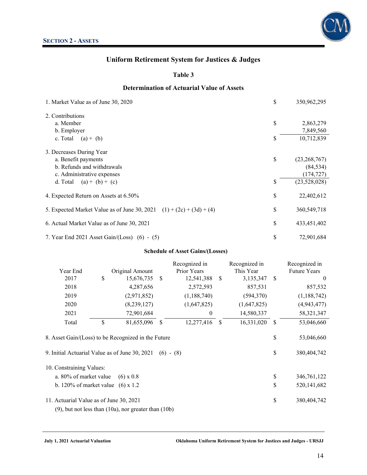

### **Table 3**

### **Determination of Actuarial Value of Assets**

| 1. Market Value as of June 30, 2020                                  | \$ | 350,962,295    |
|----------------------------------------------------------------------|----|----------------|
| 2. Contributions                                                     |    |                |
| a. Member                                                            | \$ | 2,863,279      |
| b. Employer                                                          |    | 7,849,560      |
| c. Total<br>$(a) + (b)$                                              | S  | 10,712,839     |
| 3. Decreases During Year                                             |    |                |
| a. Benefit payments                                                  | \$ | (23, 268, 767) |
| b. Refunds and withdrawals                                           |    | (84, 534)      |
| c. Administrative expenses                                           |    | (174, 727)     |
| d. Total<br>$(a) + (b) + (c)$                                        | \$ | (23,528,028)   |
| 4. Expected Return on Assets at 6.50%                                | \$ | 22,402,612     |
| 5. Expected Market Value as of June 30, 2021 (1) + (2c) + (3d) + (4) | \$ | 360,549,718    |
| 6. Actual Market Value as of June 30, 2021                           | \$ | 433,451,402    |
| 7. Year End 2021 Asset Gain/(Loss) $(6) - (5)$                       | \$ | 72,901,684     |

#### **Schedule of Asset Gains/(Losses)**

|                                                                                                       |                                                              |     | Recognized in    |               | Recognized in |               | Recognized in             |
|-------------------------------------------------------------------------------------------------------|--------------------------------------------------------------|-----|------------------|---------------|---------------|---------------|---------------------------|
| Year End                                                                                              | Original Amount                                              |     | Prior Years      |               | This Year     |               | <b>Future Years</b>       |
| 2017                                                                                                  | \$<br>15,676,735                                             | -\$ | 12,541,388       | <sup>\$</sup> | 3,135,347     | -S            | $\overline{0}$            |
| 2018                                                                                                  | 4,287,656                                                    |     | 2,572,593        |               | 857,531       |               | 857,532                   |
| 2019                                                                                                  | (2,971,852)                                                  |     | (1,188,740)      |               | (594, 370)    |               | (1,188,742)               |
| 2020                                                                                                  | (8,239,127)                                                  |     | (1,647,825)      |               | (1,647,825)   |               | (4,943,477)               |
| 2021                                                                                                  | 72,901,684                                                   |     | $\boldsymbol{0}$ |               | 14,580,337    |               | 58, 321, 347              |
| Total                                                                                                 | \$<br>81,655,096                                             | -S  | 12,277,416       | <sup>\$</sup> | 16,331,020    | <sup>\$</sup> | 53,046,660                |
| 8. Asset Gain/(Loss) to be Recognized in the Future<br>9. Initial Actuarial Value as of June 30, 2021 |                                                              |     | $(6) - (8)$      |               |               | \$<br>\$      | 53,046,660<br>380,404,742 |
| 10. Constraining Values:                                                                              |                                                              |     |                  |               |               |               |                           |
| a. 80% of market value                                                                                | $(6) \times 0.8$                                             |     |                  |               |               | \$            | 346,761,122               |
| b. 120% of market value $(6)$ x 1.2                                                                   |                                                              |     |                  |               |               | \$            | 520, 141, 682             |
| 11. Actuarial Value as of June 30, 2021                                                               |                                                              |     |                  |               |               | \$            | 380,404,742               |
|                                                                                                       | $(9)$ , but not less than $(10a)$ , nor greater than $(10b)$ |     |                  |               |               |               |                           |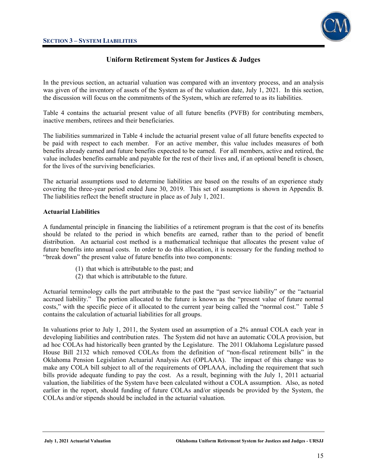

In the previous section, an actuarial valuation was compared with an inventory process, and an analysis was given of the inventory of assets of the System as of the valuation date, July 1, 2021. In this section, the discussion will focus on the commitments of the System, which are referred to as its liabilities.

Table 4 contains the actuarial present value of all future benefits (PVFB) for contributing members, inactive members, retirees and their beneficiaries.

The liabilities summarized in Table 4 include the actuarial present value of all future benefits expected to be paid with respect to each member. For an active member, this value includes measures of both benefits already earned and future benefits expected to be earned. For all members, active and retired, the value includes benefits earnable and payable for the rest of their lives and, if an optional benefit is chosen, for the lives of the surviving beneficiaries.

The actuarial assumptions used to determine liabilities are based on the results of an experience study covering the three-year period ended June 30, 2019. This set of assumptions is shown in Appendix B. The liabilities reflect the benefit structure in place as of July 1, 2021.

### **Actuarial Liabilities**

A fundamental principle in financing the liabilities of a retirement program is that the cost of its benefits should be related to the period in which benefits are earned, rather than to the period of benefit distribution. An actuarial cost method is a mathematical technique that allocates the present value of future benefits into annual costs. In order to do this allocation, it is necessary for the funding method to "break down" the present value of future benefits into two components:

- (1) that which is attributable to the past; and
- (2) that which is attributable to the future.

Actuarial terminology calls the part attributable to the past the "past service liability" or the "actuarial accrued liability." The portion allocated to the future is known as the "present value of future normal costs," with the specific piece of it allocated to the current year being called the "normal cost." Table 5 contains the calculation of actuarial liabilities for all groups.

In valuations prior to July 1, 2011, the System used an assumption of a 2% annual COLA each year in developing liabilities and contribution rates. The System did not have an automatic COLA provision, but ad hoc COLAs had historically been granted by the Legislature. The 2011 Oklahoma Legislature passed House Bill 2132 which removed COLAs from the definition of "non-fiscal retirement bills" in the Oklahoma Pension Legislation Actuarial Analysis Act (OPLAAA). The impact of this change was to make any COLA bill subject to all of the requirements of OPLAAA, including the requirement that such bills provide adequate funding to pay the cost. As a result, beginning with the July 1, 2011 actuarial valuation, the liabilities of the System have been calculated without a COLA assumption. Also, as noted earlier in the report, should funding of future COLAs and/or stipends be provided by the System, the COLAs and/or stipends should be included in the actuarial valuation.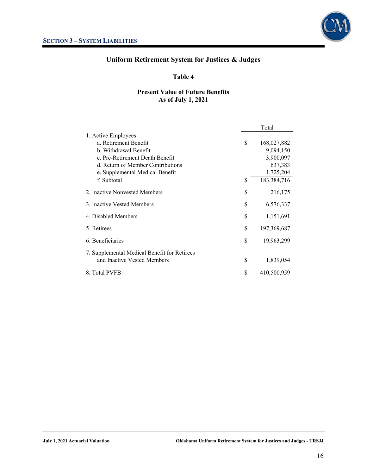

### **Table 4**

### **Present Value of Future Benefits As of July 1, 2021**

|                                              | Total |             |  |
|----------------------------------------------|-------|-------------|--|
| 1. Active Employees                          |       |             |  |
| a. Retirement Benefit                        | \$    | 168,027,882 |  |
| b. Withdrawal Benefit                        |       | 9,094,150   |  |
| c. Pre-Retirement Death Benefit              |       | 3,900,097   |  |
| d. Return of Member Contributions            |       | 637,383     |  |
| e. Supplemental Medical Benefit              |       | 1,725,204   |  |
| f. Subtotal                                  | \$    | 183,384,716 |  |
| 2. Inactive Nonvested Members                | \$    | 216,175     |  |
| 3. Inactive Vested Members                   | \$    | 6,576,337   |  |
| 4. Disabled Members                          | \$    | 1,151,691   |  |
| 5. Retirees                                  | \$    | 197,369,687 |  |
| 6. Beneficiaries                             | \$    | 19,963,299  |  |
| 7. Supplemental Medical Benefit for Retirees |       |             |  |
| and Inactive Vested Members                  | \$    | 1,839,054   |  |
| 8. Total PVFB                                | \$    | 410,500,959 |  |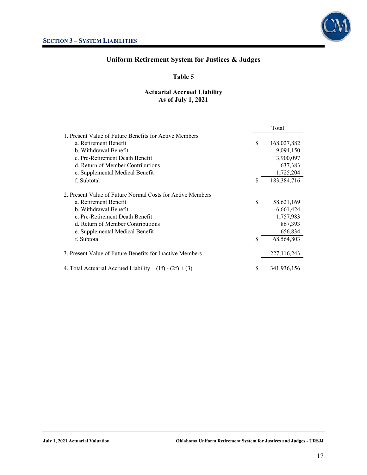

### **Table 5**

### **Actuarial Accrued Liability As of July 1, 2021**

|                                                             |    | Total       |
|-------------------------------------------------------------|----|-------------|
| 1. Present Value of Future Benefits for Active Members      |    |             |
| a. Retirement Benefit                                       | \$ | 168,027,882 |
| b. Withdrawal Benefit                                       |    | 9,094,150   |
| c. Pre-Retirement Death Benefit                             |    | 3,900,097   |
| d. Return of Member Contributions                           |    | 637,383     |
| e. Supplemental Medical Benefit                             |    | 1,725,204   |
| f. Subtotal                                                 | \$ | 183,384,716 |
| 2. Present Value of Future Normal Costs for Active Members  |    |             |
| a. Retirement Benefit                                       | \$ | 58,621,169  |
| b. Withdrawal Benefit                                       |    | 6,661,424   |
| c. Pre-Retirement Death Benefit                             |    | 1,757,983   |
| d. Return of Member Contributions                           |    | 867,393     |
| e. Supplemental Medical Benefit                             |    | 656,834     |
| f. Subtotal                                                 | \$ | 68,564,803  |
| 3. Present Value of Future Benefits for Inactive Members    |    | 227,116,243 |
| 4. Total Actuarial Accrued Liability<br>$(1f) - (2f) + (3)$ | S  | 341,936,156 |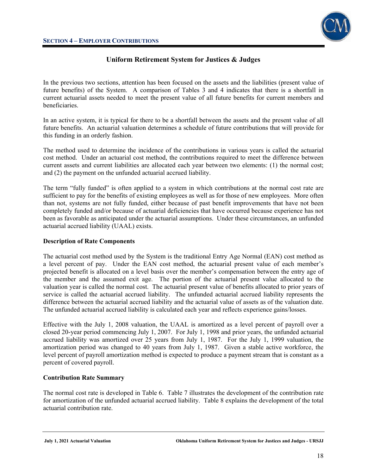

In the previous two sections, attention has been focused on the assets and the liabilities (present value of future benefits) of the System. A comparison of Tables 3 and 4 indicates that there is a shortfall in current actuarial assets needed to meet the present value of all future benefits for current members and beneficiaries.

In an active system, it is typical for there to be a shortfall between the assets and the present value of all future benefits. An actuarial valuation determines a schedule of future contributions that will provide for this funding in an orderly fashion.

The method used to determine the incidence of the contributions in various years is called the actuarial cost method. Under an actuarial cost method, the contributions required to meet the difference between current assets and current liabilities are allocated each year between two elements: (1) the normal cost; and (2) the payment on the unfunded actuarial accrued liability.

The term "fully funded" is often applied to a system in which contributions at the normal cost rate are sufficient to pay for the benefits of existing employees as well as for those of new employees. More often than not, systems are not fully funded, either because of past benefit improvements that have not been completely funded and/or because of actuarial deficiencies that have occurred because experience has not been as favorable as anticipated under the actuarial assumptions. Under these circumstances, an unfunded actuarial accrued liability (UAAL) exists.

### **Description of Rate Components**

The actuarial cost method used by the System is the traditional Entry Age Normal (EAN) cost method as a level percent of pay. Under the EAN cost method, the actuarial present value of each member's projected benefit is allocated on a level basis over the member's compensation between the entry age of the member and the assumed exit age. The portion of the actuarial present value allocated to the valuation year is called the normal cost. The actuarial present value of benefits allocated to prior years of service is called the actuarial accrued liability. The unfunded actuarial accrued liability represents the difference between the actuarial accrued liability and the actuarial value of assets as of the valuation date. The unfunded actuarial accrued liability is calculated each year and reflects experience gains/losses.

Effective with the July 1, 2008 valuation, the UAAL is amortized as a level percent of payroll over a closed 20-year period commencing July 1, 2007. For July 1, 1998 and prior years, the unfunded actuarial accrued liability was amortized over 25 years from July 1, 1987. For the July 1, 1999 valuation, the amortization period was changed to 40 years from July 1, 1987. Given a stable active workforce, the level percent of payroll amortization method is expected to produce a payment stream that is constant as a percent of covered payroll.

### **Contribution Rate Summary**

The normal cost rate is developed in Table 6. Table 7 illustrates the development of the contribution rate for amortization of the unfunded actuarial accrued liability. Table 8 explains the development of the total actuarial contribution rate.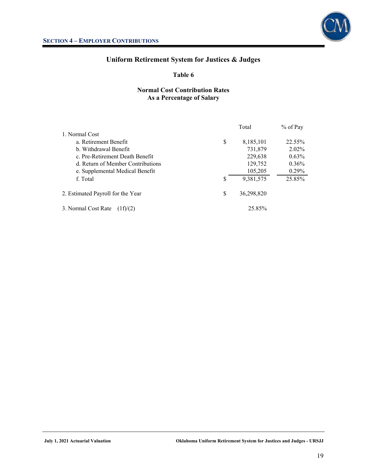

### **Table 6**

### **Normal Cost Contribution Rates As a Percentage of Salary**

|                                   | Total |            | $%$ of Pay |  |
|-----------------------------------|-------|------------|------------|--|
| 1. Normal Cost                    |       |            |            |  |
| a. Retirement Benefit             | \$    | 8,185,101  | 22.55%     |  |
| b. Withdrawal Benefit             |       | 731,879    | $2.02\%$   |  |
| c. Pre-Retirement Death Benefit   |       | 229,638    | $0.63\%$   |  |
| d. Return of Member Contributions |       | 129,752    | $0.36\%$   |  |
| e. Supplemental Medical Benefit   |       | 105,205    | $0.29\%$   |  |
| f. Total                          | \$    | 9,381,575  | 25.85%     |  |
| 2. Estimated Payroll for the Year | S     | 36,298,820 |            |  |
| 3. Normal Cost Rate               |       | 25.85%     |            |  |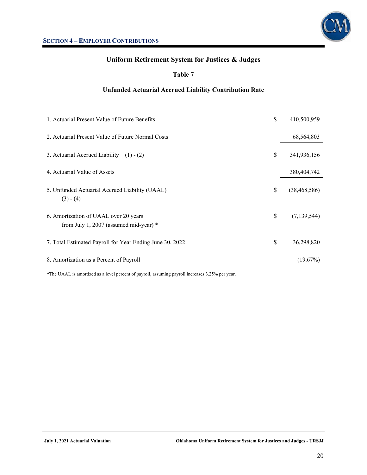

### **Table 7**

### **Unfunded Actuarial Accrued Liability Contribution Rate**

| 1. Actuarial Present Value of Future Benefits                                     | \$<br>410,500,959    |
|-----------------------------------------------------------------------------------|----------------------|
| 2. Actuarial Present Value of Future Normal Costs                                 | 68,564,803           |
| 3. Actuarial Accrued Liability $(1) - (2)$                                        | \$<br>341,936,156    |
| 4. Actuarial Value of Assets                                                      | 380,404,742          |
| 5. Unfunded Actuarial Accrued Liability (UAAL)<br>$(3) - (4)$                     | \$<br>(38, 468, 586) |
| 6. Amortization of UAAL over 20 years<br>from July 1, 2007 (assumed mid-year) $*$ | \$<br>(7, 139, 544)  |
| 7. Total Estimated Payroll for Year Ending June 30, 2022                          | \$<br>36,298,820     |
| 8. Amortization as a Percent of Payroll                                           | (19.67%)             |

\*The UAAL is amortized as a level percent of payroll, assuming payroll increases 3.25% per year.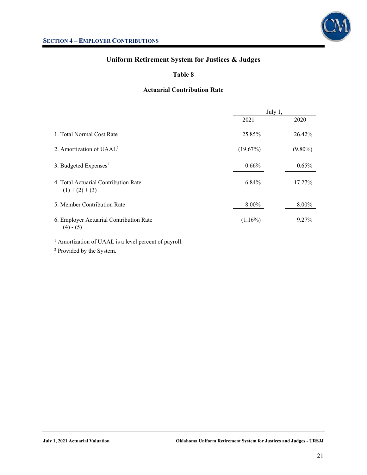



### **Table 8**

### **Actuarial Contribution Rate**

|                                                                  | July 1,    |            |
|------------------------------------------------------------------|------------|------------|
|                                                                  | 2021       | 2020       |
| 1. Total Normal Cost Rate                                        | 25.85%     | 26.42%     |
| 2. Amortization of $UAAL1$                                       | (19.67%)   | $(9.80\%)$ |
| 3. Budgeted Expenses <sup>2</sup>                                | 0.66%      | $0.65\%$   |
| 4. Total Actuarial Contribution Rate<br>$(1)+(2)+(3)$            | 6.84%      | 17.27%     |
| 5. Member Contribution Rate                                      | 8.00%      | 8.00%      |
| 6. Employer Actuarial Contribution Rate<br>$(4) - (5)$           | $(1.16\%)$ | 9.27%      |
| <sup>1</sup> Amortization of UAAL is a level percent of payroll. |            |            |

2 Provided by the System.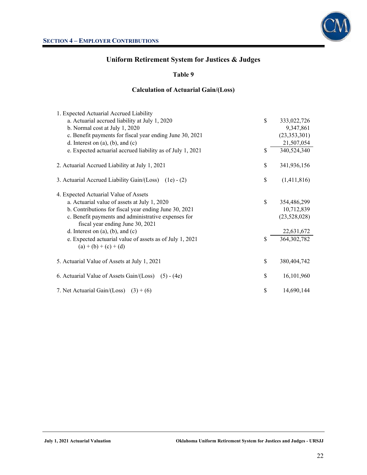

### **Table 9**

### **Calculation of Actuarial Gain/(Loss)**

| 1. Expected Actuarial Accrued Liability                    |              |                |
|------------------------------------------------------------|--------------|----------------|
| a. Actuarial accrued liability at July 1, 2020             | $\mathbb{S}$ | 333,022,726    |
| b. Normal cost at July 1, 2020                             |              | 9,347,861      |
| c. Benefit payments for fiscal year ending June 30, 2021   |              | (23, 353, 301) |
| d. Interest on $(a)$ , $(b)$ , and $(c)$                   |              | 21,507,054     |
| e. Expected actuarial accrued liability as of July 1, 2021 | \$           | 340,524,340    |
| 2. Actuarial Accrued Liability at July 1, 2021             | \$           | 341,936,156    |
| 3. Actuarial Accrued Liability Gain/(Loss) (1e) - (2)      | \$           | (1,411,816)    |
| 4. Expected Actuarial Value of Assets                      |              |                |
| a. Actuarial value of assets at July 1, 2020               | $\mathbb{S}$ | 354,486,299    |
| b. Contributions for fiscal year ending June 30, 2021      |              | 10,712,839     |
| c. Benefit payments and administrative expenses for        |              | (23,528,028)   |
| fiscal year ending June 30, 2021                           |              |                |
| d. Interest on $(a)$ , $(b)$ , and $(c)$                   |              | 22,631,672     |
| e. Expected actuarial value of assets as of July 1, 2021   | \$           | 364, 302, 782  |
| $(a) + (b) + (c) + (d)$                                    |              |                |
| 5. Actuarial Value of Assets at July 1, 2021               | \$           | 380,404,742    |
| 6. Actuarial Value of Assets Gain/(Loss) (5) - (4e)        | \$           | 16,101,960     |
| 7. Net Actuarial Gain/(Loss) $(3) + (6)$                   | \$           | 14,690,144     |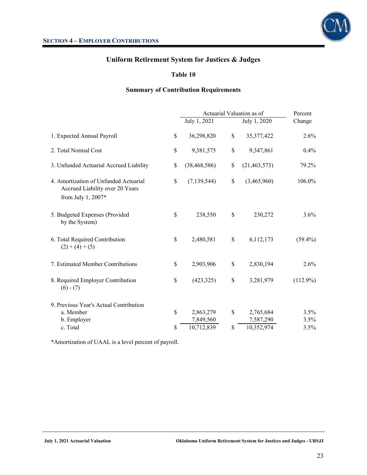

### **Table 10**

### **Summary of Contribution Requirements**

|                                                                                                | Actuarial Valuation as of | Percent              |             |
|------------------------------------------------------------------------------------------------|---------------------------|----------------------|-------------|
|                                                                                                | July 1, 2021              | July 1, 2020         | Change      |
| 1. Expected Annual Payroll                                                                     | \$<br>36,298,820          | \$<br>35, 377, 422   | 2.6%        |
| 2. Total Normal Cost                                                                           | \$<br>9,381,575           | \$<br>9,347,861      | $0.4\%$     |
| 3. Unfunded Actuarial Accrued Liability                                                        | \$<br>(38, 468, 586)      | \$<br>(21, 463, 573) | 79.2%       |
| 4. Amortization of Unfunded Actuarial<br>Accrued Liability over 20 Years<br>from July 1, 2007* | \$<br>(7, 139, 544)       | \$<br>(3,465,960)    | 106.0%      |
| 5. Budgeted Expenses (Provided<br>by the System)                                               | \$<br>238,550             | \$<br>230,272        | $3.6\%$     |
| 6. Total Required Contribution<br>$(2) + (4) + (5)$                                            | \$<br>2,480,581           | \$<br>6,112,173      | $(59.4\%)$  |
| 7. Estimated Member Contributions                                                              | \$<br>2,903,906           | \$<br>2,830,194      | 2.6%        |
| 8. Required Employer Contribution<br>$(6) - (7)$                                               | \$<br>(423, 325)          | \$<br>3,281,979      | $(112.9\%)$ |
| 9. Previous Year's Actual Contribution                                                         |                           |                      |             |
| a. Member                                                                                      | \$<br>2,863,279           | \$<br>2,765,684      | 3.5%        |
| b. Employer                                                                                    | 7,849,560                 | 7,587,290            | 3.5%        |
| c. Total                                                                                       | \$<br>10,712,839          | \$<br>10,352,974     | 3.5%        |

\*Amortization of UAAL is a level percent of payroll.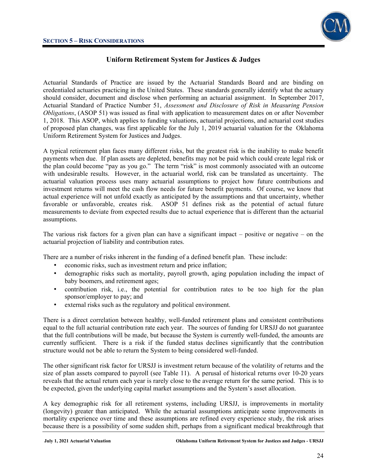

Actuarial Standards of Practice are issued by the Actuarial Standards Board and are binding on credentialed actuaries practicing in the United States. These standards generally identify what the actuary should consider, document and disclose when performing an actuarial assignment. In September 2017, Actuarial Standard of Practice Number 51, *Assessment and Disclosure of Risk in Measuring Pension Obligations*, (ASOP 51) was issued as final with application to measurement dates on or after November 1, 2018. This ASOP, which applies to funding valuations, actuarial projections, and actuarial cost studies of proposed plan changes, was first applicable for the July 1, 2019 actuarial valuation for the Oklahoma Uniform Retirement System for Justices and Judges.

A typical retirement plan faces many different risks, but the greatest risk is the inability to make benefit payments when due. If plan assets are depleted, benefits may not be paid which could create legal risk or the plan could become "pay as you go." The term "risk" is most commonly associated with an outcome with undesirable results. However, in the actuarial world, risk can be translated as uncertainty. The actuarial valuation process uses many actuarial assumptions to project how future contributions and investment returns will meet the cash flow needs for future benefit payments. Of course, we know that actual experience will not unfold exactly as anticipated by the assumptions and that uncertainty, whether favorable or unfavorable, creates risk. ASOP 51 defines risk as the potential of actual future measurements to deviate from expected results due to actual experience that is different than the actuarial assumptions.

The various risk factors for a given plan can have a significant impact – positive or negative – on the actuarial projection of liability and contribution rates.

There are a number of risks inherent in the funding of a defined benefit plan. These include:

- economic risks, such as investment return and price inflation;
- demographic risks such as mortality, payroll growth, aging population including the impact of baby boomers, and retirement ages;
- contribution risk, i.e., the potential for contribution rates to be too high for the plan sponsor/employer to pay; and
- external risks such as the regulatory and political environment.

There is a direct correlation between healthy, well-funded retirement plans and consistent contributions equal to the full actuarial contribution rate each year. The sources of funding for URSJJ do not guarantee that the full contributions will be made, but because the System is currently well-funded, the amounts are currently sufficient. There is a risk if the funded status declines significantly that the contribution structure would not be able to return the System to being considered well-funded.

The other significant risk factor for URSJJ is investment return because of the volatility of returns and the size of plan assets compared to payroll (see Table 11). A perusal of historical returns over 10-20 years reveals that the actual return each year is rarely close to the average return for the same period. This is to be expected, given the underlying capital market assumptions and the System's asset allocation.

A key demographic risk for all retirement systems, including URSJJ, is improvements in mortality (longevity) greater than anticipated. While the actuarial assumptions anticipate some improvements in mortality experience over time and these assumptions are refined every experience study, the risk arises because there is a possibility of some sudden shift, perhaps from a significant medical breakthrough that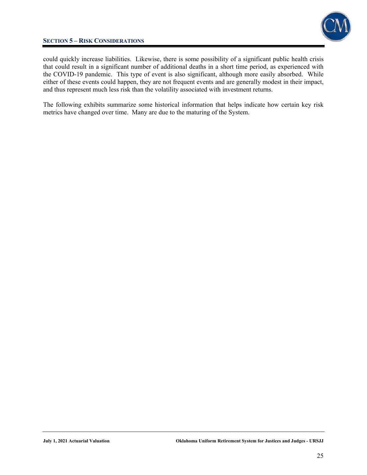### **SECTION 5 – RISK CONSIDERATIONS**



could quickly increase liabilities. Likewise, there is some possibility of a significant public health crisis that could result in a significant number of additional deaths in a short time period, as experienced with the COVID-19 pandemic. This type of event is also significant, although more easily absorbed. While either of these events could happen, they are not frequent events and are generally modest in their impact, and thus represent much less risk than the volatility associated with investment returns.

The following exhibits summarize some historical information that helps indicate how certain key risk metrics have changed over time. Many are due to the maturing of the System.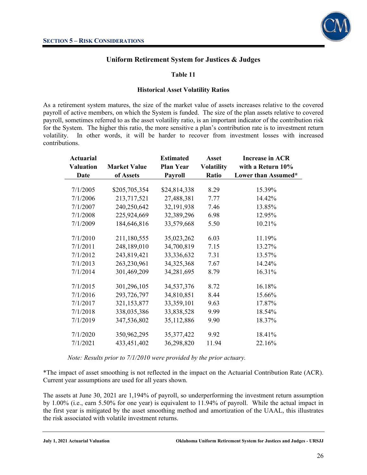

### **Table 11**

### **Historical Asset Volatility Ratios**

As a retirement system matures, the size of the market value of assets increases relative to the covered payroll of active members, on which the System is funded. The size of the plan assets relative to covered payroll, sometimes referred to as the asset volatility ratio, is an important indicator of the contribution risk for the System. The higher this ratio, the more sensitive a plan's contribution rate is to investment return volatility. In other words, it will be harder to recover from investment losses with increased contributions.

| <b>Actuarial</b><br><b>Valuation</b> | <b>Market Value</b> | <b>Estimated</b><br><b>Plan Year</b> | <b>Asset</b><br><b>Volatility</b> | <b>Increase in ACR</b><br>with a Return 10% |
|--------------------------------------|---------------------|--------------------------------------|-----------------------------------|---------------------------------------------|
| <b>Date</b>                          | of Assets           | <b>Payroll</b>                       | Ratio                             | Lower than Assumed*                         |
| 7/1/2005                             | \$205,705,354       | \$24,814,338                         | 8.29                              | 15.39%                                      |
| 7/1/2006                             | 213,717,521         | 27,488,381                           | 7.77                              | 14.42%                                      |
| 7/1/2007                             | 240,250,642         | 32,191,938                           | 7.46                              | 13.85%                                      |
| 7/1/2008                             | 225,924,669         | 32,389,296                           | 6.98                              | 12.95%                                      |
| 7/1/2009                             | 184,646,816         | 33,579,668                           | 5.50                              | 10.21%                                      |
|                                      |                     |                                      |                                   |                                             |
| 7/1/2010                             | 211,180,555         | 35,023,262                           | 6.03                              | 11.19%                                      |
| 7/1/2011                             | 248,189,010         | 34,700,819                           | 7.15                              | 13.27%                                      |
| 7/1/2012                             | 243,819,421         | 33,336,632                           | 7.31                              | 13.57%                                      |
| 7/1/2013                             | 263,230,961         | 34, 325, 368                         | 7.67                              | 14.24%                                      |
| 7/1/2014                             | 301,469,209         | 34,281,695                           | 8.79                              | 16.31%                                      |
|                                      |                     |                                      |                                   |                                             |
| 7/1/2015                             | 301,296,105         | 34,537,376                           | 8.72                              | 16.18%                                      |
| 7/1/2016                             | 293,726,797         | 34,810,851                           | 8.44                              | 15.66%                                      |
| 7/1/2017                             | 321,153,877         | 33,359,101                           | 9.63                              | 17.87%                                      |
| 7/1/2018                             | 338,035,386         | 33,838,528                           | 9.99                              | 18.54%                                      |
| 7/1/2019                             | 347,536,802         | 35,112,886                           | 9.90                              | 18.37%                                      |
|                                      |                     |                                      |                                   |                                             |
| 7/1/2020                             | 350,962,295         | 35, 377, 422                         | 9.92                              | 18.41%                                      |
| 7/1/2021                             | 433,451,402         | 36,298,820                           | 11.94                             | 22.16%                                      |

*Note: Results prior to 7/1/2010 were provided by the prior actuary.* 

\*The impact of asset smoothing is not reflected in the impact on the Actuarial Contribution Rate (ACR). Current year assumptions are used for all years shown.

The assets at June 30, 2021 are 1,194% of payroll, so underperforming the investment return assumption by 1.00% (i.e., earn 5.50% for one year) is equivalent to 11.94% of payroll. While the actual impact in the first year is mitigated by the asset smoothing method and amortization of the UAAL, this illustrates the risk associated with volatile investment returns.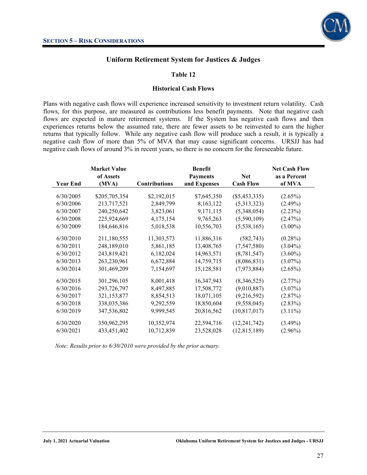

### **Table 12**

#### **Historical Cash Flows**

Plans with negative cash flows will experience increased sensitivity to investment return volatility. Cash flows, for this purpose, are measured as contributions less benefit payments. Note that negative cash flows are expected in mature retirement systems. If the System has negative cash flows and then experiences returns below the assumed rate, there are fewer assets to be reinvested to earn the higher returns that typically follow. While any negative cash flow will produce such a result, it is typically a negative cash flow of more than 5% of MVA that may cause significant concerns. URSJJ has had negative cash flows of around 3% in recent years, so there is no concern for the foreseeable future.

|                 | <b>Market Value</b> |                      | <b>Benefit</b>  |                  | <b>Net Cash Flow</b> |
|-----------------|---------------------|----------------------|-----------------|------------------|----------------------|
|                 | of Assets           |                      | <b>Payments</b> | <b>Net</b>       | as a Percent         |
| <b>Year End</b> | (MVA)               | <b>Contributions</b> | and Expenses    | <b>Cash Flow</b> | of MVA               |
| 6/30/2005       | \$205,705,354       | \$2,192,015          | \$7,645,350     | $(\$5,453,335)$  | $(2.65\%)$           |
| 6/30/2006       | 213,717,521         | 2,849,799            | 8,163,122       | (5,313,323)      | $(2.49\%)$           |
| 6/30/2007       | 240,250,642         | 3,823,061            | 9,171,115       | (5,348,054)      | (2.23%)              |
| 6/30/2008       | 225,924,669         | 4,175,154            | 9,765,263       | (5,590,109)      | (2.47%)              |
| 6/30/2009       | 184,646,816         | 5,018,538            | 10,556,703      | (5,538,165)      | $(3.00\%)$           |
| 6/30/2010       | 211,180,555         | 11,303,573           | 11,886,316      | (582,743)        | $(0.28\%)$           |
| 6/30/2011       | 248,189,010         | 5,861,185            | 13,408,765      | (7,547,580)      | $(3.04\%)$           |
| 6/30/2012       | 243,819,421         | 6,182,024            | 14,963,571      | (8, 781, 547)    | $(3.60\%)$           |
| 6/30/2013       | 263,230,961         | 6,672,884            | 14,759,715      | (8,086,831)      | $(3.07\%)$           |
| 6/30/2014       | 301,469,209         | 7,154,697            | 15,128,581      | (7,973,884)      | $(2.65\%)$           |
| 6/30/2015       | 301,296,105         | 8,001,418            | 16,347,943      | (8,346,525)      | $(2.77\%)$           |
| 6/30/2016       | 293,726,797         | 8,497,885            | 17,508,772      | (9,010,887)      | $(3.07\%)$           |
| 6/30/2017       | 321,153,877         | 8,854,513            | 18,071,105      | (9,216,592)      | (2.87%)              |
| 6/30/2018       | 338,035,386         | 9,292,559            | 18,850,604      | (9,558,045)      | $(2.83\%)$           |
| 6/30/2019       | 347,536,802         | 9,999,545            | 20,816,562      | (10,817,017)     | $(3.11\%)$           |
| 6/30/2020       | 350,962,295         | 10,352,974           | 22,594,716      | (12, 241, 742)   | $(3.49\%)$           |
| 6/30/2021       | 433, 451, 402       | 10,712,839           | 23,528,028      | (12, 815, 189)   | $(2.96\%)$           |

*Note: Results prior to 6/30/2010 were provided by the prior actuary.*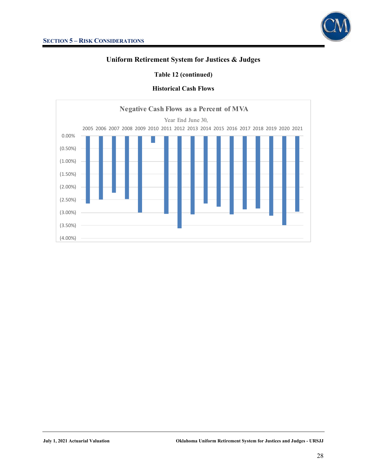### **Table 12 (continued)**

### **Historical Cash Flows**

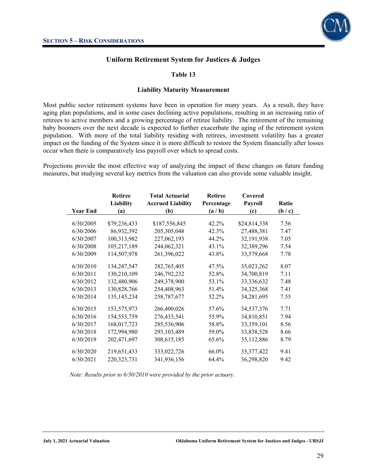

### **Table 13**

#### **Liability Maturity Measurement**

Most public sector retirement systems have been in operation for many years. As a result, they have aging plan populations, and in some cases declining active populations, resulting in an increasing ratio of retirees to active members and a growing percentage of retiree liability. The retirement of the remaining baby boomers over the next decade is expected to further exacerbate the aging of the retirement system population. With more of the total liability residing with retirees, investment volatility has a greater impact on the funding of the System since it is more difficult to restore the System financially after losses occur when there is comparatively less payroll over which to spread costs.

Projections provide the most effective way of analyzing the impact of these changes on future funding measures, but studying several key metrics from the valuation can also provide some valuable insight.

|                 | <b>Retiree</b>   | <b>Total Actuarial</b>   | <b>Retiree</b> | Covered      |       |
|-----------------|------------------|--------------------------|----------------|--------------|-------|
|                 | <b>Liability</b> | <b>Accrued Liability</b> | Percentage     | Payroll      | Ratio |
| <b>Year End</b> | (a)              | (b)                      | (a/b)          | (c)          | (b/c) |
|                 |                  |                          |                |              |       |
| 6/30/2005       | \$79,236,433     | \$187,556,845            | 42.2%          | \$24,814,338 | 7.56  |
| 6/30/2006       | 86,932,392       | 205,305,048              | 42.3%          | 27,488,381   | 7.47  |
| 6/30/2007       | 100,313,982      | 227,062,193              | 44.2%          | 32, 191, 938 | 7.05  |
| 6/30/2008       | 105,217,189      | 244,062,321              | 43.1%          | 32,389,296   | 7.54  |
| 6/30/2009       | 114,507,978      | 261,396,022              | 43.8%          | 33,579,668   | 7.78  |
| 6/30/2010       | 134,247,547      | 282,765,405              | 47.5%          | 35,023,262   | 8.07  |
| 6/30/2011       | 130,210,109      | 246,792,232              | 52.8%          | 34,700,819   | 7.11  |
| 6/30/2012       | 132,480,906      | 249,378,900              | 53.1%          | 33,336,632   | 7.48  |
| 6/30/2013       | 130,828,766      | 254,408,963              | 51.4%          | 34,325,368   | 7.41  |
| 6/30/2014       | 135, 145, 234    | 258,787,677              | 52.2%          | 34,281,695   | 7.55  |
| 6/30/2015       | 153,575,973      | 266,400,026              | 57.6%          | 34,537,376   | 7.71  |
| 6/30/2016       | 154,553,759      | 276,433,541              | 55.9%          | 34,810,851   | 7.94  |
| 6/30/2017       | 168,017,723      | 285,536,906              | 58.8%          | 33,359,101   | 8.56  |
| 6/30/2018       | 172,994,980      | 293,103,489              | 59.0%          | 33,838,528   | 8.66  |
| 6/30/2019       | 202,471,697      | 308,615,185              | 65.6%          | 35,112,886   | 8.79  |
| 6/30/2020       | 219,651,433      | 333,022,726              | 66.0%          | 35, 377, 422 | 9.41  |
| 6/30/2021       | 220, 323, 731    | 341,936,156              | 64.4%          | 36,298,820   | 9.42  |

*Note: Results prior to 6/30/2010 were provided by the prior actuary.*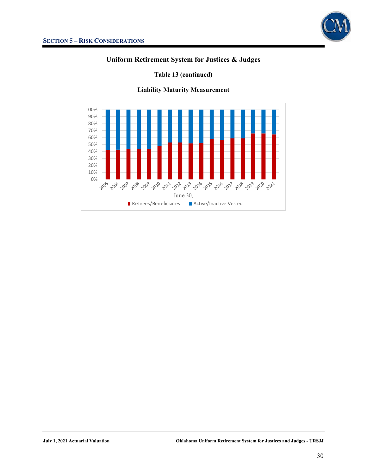

### **Table 13 (continued)**

### **Liability Maturity Measurement**

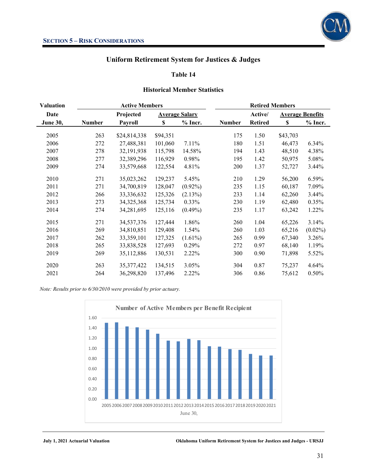

#### **Table 14**

#### **Historical Member Statistics**

| <b>Valuation</b> |               | <b>Active Members</b> |          |                       |               | <b>Retired Members</b> |          |                         |
|------------------|---------------|-----------------------|----------|-----------------------|---------------|------------------------|----------|-------------------------|
| Date             |               | Projected             |          | <b>Average Salary</b> |               | Active/                |          | <b>Average Benefits</b> |
| June 30,         | <b>Number</b> | <b>Payroll</b>        | \$       | $%$ Incr.             | <b>Number</b> | <b>Retired</b>         | \$       | $%$ Incr.               |
| 2005             | 263           | \$24,814,338          | \$94,351 |                       | 175           | 1.50                   | \$43,703 |                         |
| 2006             | 272           | 27,488,381            | 101,060  | 7.11%                 | 180           | 1.51                   | 46,473   | 6.34%                   |
| 2007             | 278           | 32,191,938            | 115,798  | 14.58%                | 194           | 1.43                   | 48,510   | 4.38%                   |
| 2008             | 277           | 32,389,296            | 116,929  | 0.98%                 | 195           | 1.42                   | 50,975   | 5.08%                   |
| 2009             | 274           | 33,579,668            | 122,554  | 4.81%                 | 200           | 1.37                   | 52,727   | $3.44\%$                |
| 2010             | 271           | 35,023,262            | 129,237  | 5.45%                 | 210           | 1.29                   | 56,200   | 6.59%                   |
| 2011             | 271           | 34,700,819            | 128,047  | $(0.92\%)$            | 235           | 1.15                   | 60,187   | 7.09%                   |
| 2012             | 266           | 33,336,632            | 125,326  | (2.13%)               | 233           | 1.14                   | 62,260   | $3.44\%$                |
| 2013             | 273           | 34, 325, 368          | 125,734  | $0.33\%$              | 230           | 1.19                   | 62,480   | 0.35%                   |
| 2014             | 274           | 34,281,695            | 125,116  | $(0.49\%)$            | 235           | 1.17                   | 63,242   | 1.22%                   |
| 2015             | 271           | 34,537,376            | 127,444  | 1.86%                 | 260           | 1.04                   | 65,226   | 3.14%                   |
| 2016             | 269           | 34,810,851            | 129,408  | 1.54%                 | 260           | 1.03                   | 65,216   | $(0.02\%)$              |
| 2017             | 262           | 33,359,101            | 127,325  | $(1.61\%)$            | 265           | 0.99                   | 67,340   | 3.26%                   |
| 2018             | 265           | 33,838,528            | 127,693  | 0.29%                 | 272           | 0.97                   | 68,140   | 1.19%                   |
| 2019             | 269           | 35,112,886            | 130,531  | 2.22%                 | 300           | 0.90                   | 71,898   | 5.52%                   |
| 2020             | 263           | 35, 377, 422          | 134,515  | 3.05%                 | 304           | 0.87                   | 75,237   | 4.64%                   |
| 2021             | 264           | 36,298,820            | 137,496  | 2.22%                 | 306           | 0.86                   | 75,612   | $0.50\%$                |

*Note: Results prior to 6/30/2010 were provided by prior actuary.* 



**July 1, 2021 Actuarial Valuation Oklahoma Uniform Retirement System for Justices and Judges - URSJJ**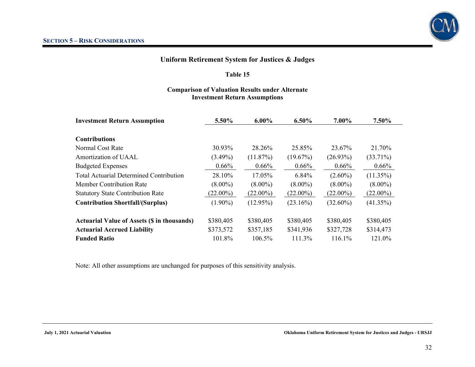### **Table 15**

### **Comparison of Valuation Results under Alternate Investment Return Assumptions**

| <b>Investment Return Assumption</b>                | 5.50%       | $6.00\%$    | $6.50\%$    | 7.00%       | 7.50%       |  |
|----------------------------------------------------|-------------|-------------|-------------|-------------|-------------|--|
|                                                    |             |             |             |             |             |  |
| <b>Contributions</b>                               |             |             |             |             |             |  |
| Normal Cost Rate                                   | 30.93%      | 28.26%      | 25.85%      | 23.67%      | 21.70%      |  |
| Amortization of UAAL                               | $(3.49\%)$  | (11.87%)    | (19.67%)    | $(26.93\%)$ | $(33.71\%)$ |  |
| <b>Budgeted Expenses</b>                           | $0.66\%$    | $0.66\%$    | $0.66\%$    | $0.66\%$    | $0.66\%$    |  |
| <b>Total Actuarial Determined Contribution</b>     | 28.10%      | 17.05%      | 6.84%       | $(2.60\%)$  | $(11.35\%)$ |  |
| <b>Member Contribution Rate</b>                    | $(8.00\%)$  | $(8.00\%)$  | $(8.00\%)$  | $(8.00\%)$  | $(8.00\%)$  |  |
| <b>Statutory State Contribution Rate</b>           | $(22.00\%)$ | $(22.00\%)$ | $(22.00\%)$ | $(22.00\%)$ | $(22.00\%)$ |  |
| <b>Contribution Shortfall/(Surplus)</b>            | $(1.90\%)$  | $(12.95\%)$ | $(23.16\%)$ | $(32.60\%)$ | $(41.35\%)$ |  |
| <b>Actuarial Value of Assets (\$ in thousands)</b> | \$380,405   | \$380,405   | \$380,405   | \$380,405   | \$380,405   |  |
| <b>Actuarial Accrued Liability</b>                 | \$373,572   | \$357,185   | \$341,936   | \$327,728   | \$314,473   |  |
| <b>Funded Ratio</b>                                | 101.8%      | 106.5%      | 111.3%      | 116.1%      | 121.0%      |  |

Note: All other assumptions are unchanged for purposes of this sensitivity analysis.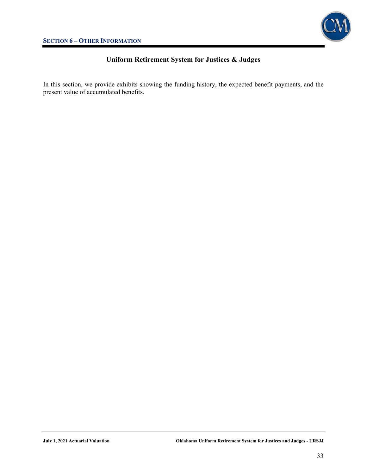

In this section, we provide exhibits showing the funding history, the expected benefit payments, and the present value of accumulated benefits.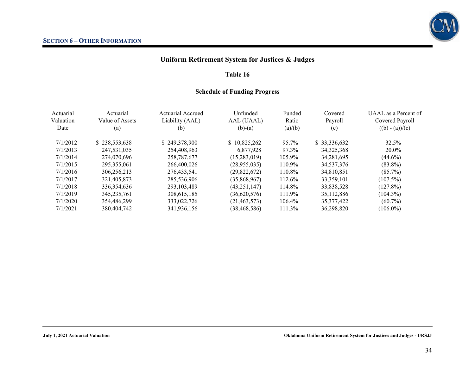### **Table 16**

### **Schedule of Funding Progress**

| Actuarial<br>Valuation<br>Date | Actuarial<br>Value of Assets<br>(a) | Actuarial Accrued<br>Liability (AAL)<br>(b) | Unfunded<br>AAL (UAAL)<br>$(b)-(a)$ | Funded<br>Ratio<br>(a)/(b) | Covered<br>Payroll<br>(c) | UAAL as a Percent of<br>Covered Payroll<br>$((b) - (a))/(c)$ |
|--------------------------------|-------------------------------------|---------------------------------------------|-------------------------------------|----------------------------|---------------------------|--------------------------------------------------------------|
| 7/1/2012                       | \$238,553,638                       | \$249,378,900                               | \$10,825,262                        | 95.7%                      | \$33,336,632              | 32.5%                                                        |
| 7/1/2013                       | 247,531,035                         | 254,408,963                                 | 6,877,928                           | 97.3%                      | 34, 325, 368              | $20.0\%$                                                     |
| 7/1/2014                       | 274,070,696                         | 258,787,677                                 | (15,283,019)                        | 105.9%                     | 34,281,695                | $(44.6\%)$                                                   |
| 7/1/2015                       | 295, 355, 061                       | 266,400,026                                 | (28, 955, 035)                      | $110.9\%$                  | 34, 537, 376              | $(83.8\%)$                                                   |
| 7/1/2016                       | 306,256,213                         | 276, 433, 541                               | (29, 822, 672)                      | 110.8%                     | 34,810,851                | $(85.7\%)$                                                   |
| 7/1/2017                       | 321,405,873                         | 285,536,906                                 | (35,868,967)                        | 112.6%                     | 33, 359, 101              | $(107.5\%)$                                                  |
| 7/1/2018                       | 336, 354, 636                       | 293, 103, 489                               | (43, 251, 147)                      | 114.8%                     | 33,838,528                | $(127.8\%)$                                                  |
| 7/1/2019                       | 345, 235, 761                       | 308, 615, 185                               | (36,620,576)                        | 111.9%                     | 35,112,886                | $(104.3\%)$                                                  |
| 7/1/2020                       | 354,486,299                         | 333,022,726                                 | (21, 463, 573)                      | $106.4\%$                  | 35, 377, 422              | $(60.7\%)$                                                   |
| 7/1/2021                       | 380,404,742                         | 341,936,156                                 | (38, 468, 586)                      | 111.3%                     | 36,298,820                | $(106.0\%)$                                                  |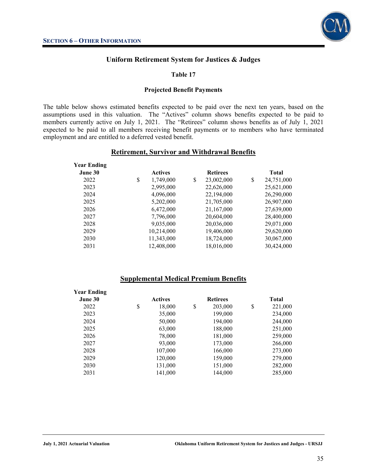

### **Table 17**

#### **Projected Benefit Payments**

The table below shows estimated benefits expected to be paid over the next ten years, based on the assumptions used in this valuation. The "Actives" column shows benefits expected to be paid to members currently active on July 1, 2021. The "Retirees" column shows benefits as of July 1, 2021 expected to be paid to all members receiving benefit payments or to members who have terminated employment and are entitled to a deferred vested benefit.

### **Retirement, Survivor and Withdrawal Benefits**

| <b>Year Ending</b> |                 |                  |   |              |
|--------------------|-----------------|------------------|---|--------------|
| June 30            | <b>Actives</b>  | <b>Retirees</b>  |   | <b>Total</b> |
| 2022               | \$<br>1,749,000 | \$<br>23,002,000 | S | 24,751,000   |
| 2023               | 2,995,000       | 22,626,000       |   | 25,621,000   |
| 2024               | 4,096,000       | 22,194,000       |   | 26,290,000   |
| 2025               | 5,202,000       | 21,705,000       |   | 26,907,000   |
| 2026               | 6,472,000       | 21,167,000       |   | 27,639,000   |
| 2027               | 7,796,000       | 20,604,000       |   | 28,400,000   |
| 2028               | 9,035,000       | 20,036,000       |   | 29,071,000   |
| 2029               | 10,214,000      | 19,406,000       |   | 29,620,000   |
| 2030               | 11,343,000      | 18,724,000       |   | 30,067,000   |
| 2031               | 12,408,000      | 18,016,000       |   | 30,424,000   |
|                    |                 |                  |   |              |

### **Supplemental Medical Premium Benefits**

| <b>Year Ending</b> |                |                 |               |
|--------------------|----------------|-----------------|---------------|
| June 30            | <b>Actives</b> | <b>Retirees</b> | <b>Total</b>  |
| 2022               | \$<br>18,000   | \$<br>203,000   | \$<br>221,000 |
| 2023               | 35,000         | 199,000         | 234,000       |
| 2024               | 50,000         | 194,000         | 244,000       |
| 2025               | 63,000         | 188,000         | 251,000       |
| 2026               | 78,000         | 181,000         | 259,000       |
| 2027               | 93,000         | 173,000         | 266,000       |
| 2028               | 107,000        | 166,000         | 273,000       |
| 2029               | 120,000        | 159,000         | 279,000       |
| 2030               | 131,000        | 151,000         | 282,000       |
| 2031               | 141,000        | 144,000         | 285,000       |
|                    |                |                 |               |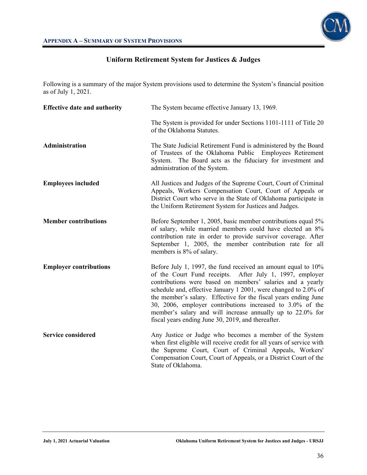

Following is a summary of the major System provisions used to determine the System's financial position as of July 1, 2021.

| <b>Effective date and authority</b> | The System became effective January 13, 1969.                                                                                                                                                                                                                                                                                                                                                                                                                                                                     |
|-------------------------------------|-------------------------------------------------------------------------------------------------------------------------------------------------------------------------------------------------------------------------------------------------------------------------------------------------------------------------------------------------------------------------------------------------------------------------------------------------------------------------------------------------------------------|
|                                     | The System is provided for under Sections 1101-1111 of Title 20<br>of the Oklahoma Statutes.                                                                                                                                                                                                                                                                                                                                                                                                                      |
| Administration                      | The State Judicial Retirement Fund is administered by the Board<br>of Trustees of the Oklahoma Public Employees Retirement<br>The Board acts as the fiduciary for investment and<br>System.<br>administration of the System.                                                                                                                                                                                                                                                                                      |
| <b>Employees included</b>           | All Justices and Judges of the Supreme Court, Court of Criminal<br>Appeals, Workers Compensation Court, Court of Appeals or<br>District Court who serve in the State of Oklahoma participate in<br>the Uniform Retirement System for Justices and Judges.                                                                                                                                                                                                                                                         |
| <b>Member contributions</b>         | Before September 1, 2005, basic member contributions equal 5%<br>of salary, while married members could have elected an 8%<br>contribution rate in order to provide survivor coverage. After<br>September 1, 2005, the member contribution rate for all<br>members is 8% of salary.                                                                                                                                                                                                                               |
| <b>Employer contributions</b>       | Before July 1, 1997, the fund received an amount equal to 10%<br>After July 1, 1997, employer<br>of the Court Fund receipts.<br>contributions were based on members' salaries and a yearly<br>schedule and, effective January 1 2001, were changed to 2.0% of<br>the member's salary. Effective for the fiscal years ending June<br>30, 2006, employer contributions increased to 3.0% of the<br>member's salary and will increase annually up to 22.0% for<br>fiscal years ending June 30, 2019, and thereafter. |
| <b>Service considered</b>           | Any Justice or Judge who becomes a member of the System<br>when first eligible will receive credit for all years of service with<br>the Supreme Court, Court of Criminal Appeals, Workers'<br>Compensation Court, Court of Appeals, or a District Court of the<br>State of Oklahoma.                                                                                                                                                                                                                              |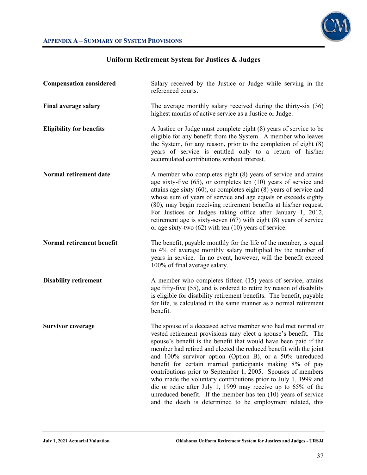

# **Compensation considered** Salary received by the Justice or Judge while serving in the referenced courts. **Final average salary** The average monthly salary received during the thirty-six (36) highest months of active service as a Justice or Judge. **Eligibility for benefits** A Justice or Judge must complete eight (8) years of service to be eligible for any benefit from the System. A member who leaves the System, for any reason, prior to the completion of eight (8) years of service is entitled only to a return of his/her accumulated contributions without interest. **Normal retirement date** A member who completes eight (8) years of service and attains age sixty-five (65), or completes ten (10) years of service and attains age sixty (60), or completes eight (8) years of service and whose sum of years of service and age equals or exceeds eighty (80), may begin receiving retirement benefits at his/her request. For Justices or Judges taking office after January 1, 2012, retirement age is sixty-seven (67) with eight (8) years of service or age sixty-two (62) with ten (10) years of service. **Normal retirement benefit** The benefit, payable monthly for the life of the member, is equal to 4% of average monthly salary multiplied by the number of years in service. In no event, however, will the benefit exceed 100% of final average salary. **Disability retirement** A member who completes fifteen (15) years of service, attains age fifty-five (55), and is ordered to retire by reason of disability is eligible for disability retirement benefits. The benefit, payable for life, is calculated in the same manner as a normal retirement benefit. **Survivor coverage** The spouse of a deceased active member who had met normal or vested retirement provisions may elect a spouse's benefit. The spouse's benefit is the benefit that would have been paid if the member had retired and elected the reduced benefit with the joint and 100% survivor option (Option B), or a 50% unreduced benefit for certain married participants making 8% of pay contributions prior to September 1, 2005. Spouses of members who made the voluntary contributions prior to July 1, 1999 and die or retire after July 1, 1999 may receive up to 65% of the unreduced benefit. If the member has ten (10) years of service and the death is determined to be employment related, this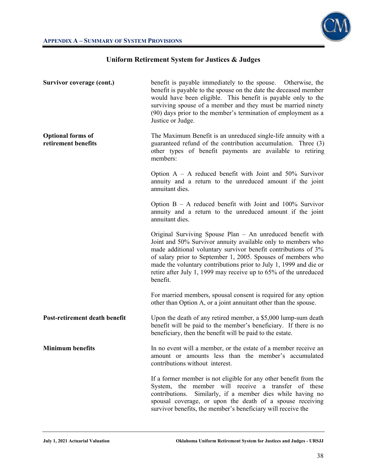

| Survivor coverage (cont.)                       | benefit is payable immediately to the spouse. Otherwise, the<br>benefit is payable to the spouse on the date the deceased member<br>would have been eligible. This benefit is payable only to the<br>surviving spouse of a member and they must be married ninety<br>(90) days prior to the member's termination of employment as a<br>Justice or Judge.                                                          |
|-------------------------------------------------|-------------------------------------------------------------------------------------------------------------------------------------------------------------------------------------------------------------------------------------------------------------------------------------------------------------------------------------------------------------------------------------------------------------------|
| <b>Optional forms of</b><br>retirement benefits | The Maximum Benefit is an unreduced single-life annuity with a<br>guaranteed refund of the contribution accumulation. Three (3)<br>other types of benefit payments are available to retiring<br>members:                                                                                                                                                                                                          |
|                                                 | Option $A - A$ reduced benefit with Joint and 50% Survivor<br>annuity and a return to the unreduced amount if the joint<br>annuitant dies.                                                                                                                                                                                                                                                                        |
|                                                 | Option $B - A$ reduced benefit with Joint and 100% Survivor<br>annuity and a return to the unreduced amount if the joint<br>annuitant dies.                                                                                                                                                                                                                                                                       |
|                                                 | Original Surviving Spouse Plan - An unreduced benefit with<br>Joint and 50% Survivor annuity available only to members who<br>made additional voluntary survivor benefit contributions of 3%<br>of salary prior to September 1, 2005. Spouses of members who<br>made the voluntary contributions prior to July 1, 1999 and die or<br>retire after July 1, 1999 may receive up to 65% of the unreduced<br>benefit. |
|                                                 | For married members, spousal consent is required for any option<br>other than Option A, or a joint annuitant other than the spouse.                                                                                                                                                                                                                                                                               |
| Post-retirement death benefit                   | Upon the death of any retired member, a \$5,000 lump-sum death<br>benefit will be paid to the member's beneficiary. If there is no<br>beneficiary, then the benefit will be paid to the estate.                                                                                                                                                                                                                   |
| <b>Minimum benefits</b>                         | In no event will a member, or the estate of a member receive an<br>amount or amounts less than the member's accumulated<br>contributions without interest.                                                                                                                                                                                                                                                        |
|                                                 | If a former member is not eligible for any other benefit from the<br>System, the member will receive a transfer of these<br>contributions.<br>Similarly, if a member dies while having no<br>spousal coverage, or upon the death of a spouse receiving<br>survivor benefits, the member's beneficiary will receive the                                                                                            |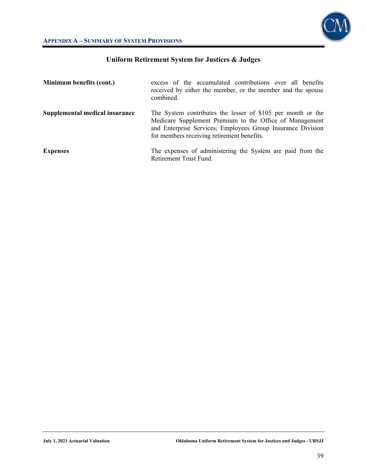

### **APPENDIX A – SUMMARY OF SYSTEM PROVISIONS**

| Minimum benefits (cont.)       | excess of the accumulated contributions over all benefits<br>received by either the member, or the member and the spouse<br>combined.                                                                                               |  |  |  |  |  |  |
|--------------------------------|-------------------------------------------------------------------------------------------------------------------------------------------------------------------------------------------------------------------------------------|--|--|--|--|--|--|
| Supplemental medical insurance | The System contributes the lesser of \$105 per month or the<br>Medicare Supplement Premium to the Office of Management<br>and Enterprise Services, Employees Group Insurance Division<br>for members receiving retirement benefits. |  |  |  |  |  |  |
| <b>Expenses</b>                | The expenses of administering the System are paid from the<br>Retirement Trust Fund.                                                                                                                                                |  |  |  |  |  |  |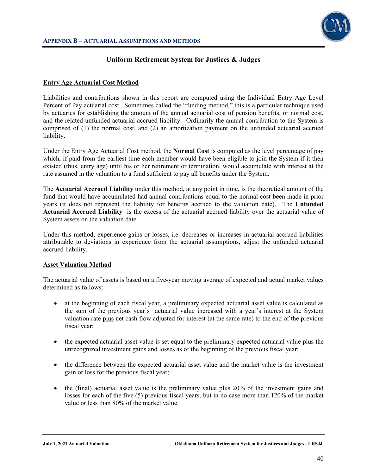

### **Entry Age Actuarial Cost Method**

Liabilities and contributions shown in this report are computed using the Individual Entry Age Level Percent of Pay actuarial cost. Sometimes called the "funding method," this is a particular technique used by actuaries for establishing the amount of the annual actuarial cost of pension benefits, or normal cost, and the related unfunded actuarial accrued liability. Ordinarily the annual contribution to the System is comprised of (1) the normal cost, and (2) an amortization payment on the unfunded actuarial accrued liability.

Under the Entry Age Actuarial Cost method, the **Normal Cost** is computed as the level percentage of pay which, if paid from the earliest time each member would have been eligible to join the System if it then existed (thus, entry age) until his or her retirement or termination, would accumulate with interest at the rate assumed in the valuation to a fund sufficient to pay all benefits under the System.

The **Actuarial Accrued Liability** under this method, at any point in time, is the theoretical amount of the fund that would have accumulated had annual contributions equal to the normal cost been made in prior years (it does not represent the liability for benefits accrued to the valuation date). The **Unfunded Actuarial Accrued Liability** is the excess of the actuarial accrued liability over the actuarial value of System assets on the valuation date.

Under this method, experience gains or losses, i.e. decreases or increases in actuarial accrued liabilities attributable to deviations in experience from the actuarial assumptions, adjust the unfunded actuarial accrued liability.

### **Asset Valuation Method**

The actuarial value of assets is based on a five-year moving average of expected and actual market values determined as follows:

- at the beginning of each fiscal year, a preliminary expected actuarial asset value is calculated as the sum of the previous year's actuarial value increased with a year's interest at the System valuation rate plus net cash flow adjusted for interest (at the same rate) to the end of the previous fiscal year;
- the expected actuarial asset value is set equal to the preliminary expected actuarial value plus the unrecognized investment gains and losses as of the beginning of the previous fiscal year;
- the difference between the expected actuarial asset value and the market value is the investment gain or loss for the previous fiscal year;
- $\bullet$  the (final) actuarial asset value is the preliminary value plus 20% of the investment gains and losses for each of the five (5) previous fiscal years, but in no case more than 120% of the market value or less than 80% of the market value.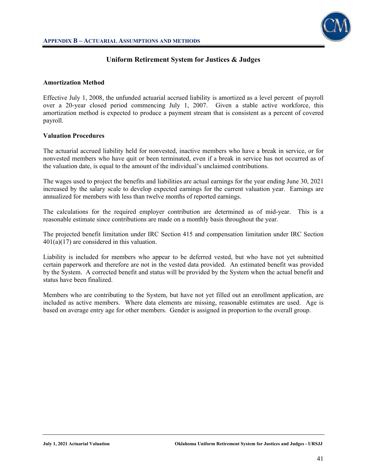

#### **Amortization Method**

Effective July 1, 2008, the unfunded actuarial accrued liability is amortized as a level percent of payroll over a 20-year closed period commencing July 1, 2007. Given a stable active workforce, this amortization method is expected to produce a payment stream that is consistent as a percent of covered payroll.

#### **Valuation Procedures**

The actuarial accrued liability held for nonvested, inactive members who have a break in service, or for nonvested members who have quit or been terminated, even if a break in service has not occurred as of the valuation date, is equal to the amount of the individual's unclaimed contributions.

The wages used to project the benefits and liabilities are actual earnings for the year ending June 30, 2021 increased by the salary scale to develop expected earnings for the current valuation year. Earnings are annualized for members with less than twelve months of reported earnings.

The calculations for the required employer contribution are determined as of mid-year. This is a reasonable estimate since contributions are made on a monthly basis throughout the year.

The projected benefit limitation under IRC Section 415 and compensation limitation under IRC Section  $401(a)(17)$  are considered in this valuation.

Liability is included for members who appear to be deferred vested, but who have not yet submitted certain paperwork and therefore are not in the vested data provided. An estimated benefit was provided by the System. A corrected benefit and status will be provided by the System when the actual benefit and status have been finalized.

Members who are contributing to the System, but have not yet filled out an enrollment application, are included as active members. Where data elements are missing, reasonable estimates are used. Age is based on average entry age for other members. Gender is assigned in proportion to the overall group.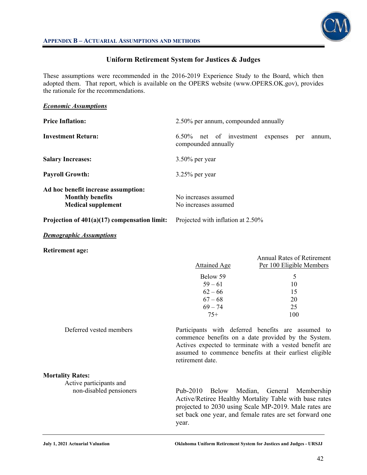

These assumptions were recommended in the 2016-2019 Experience Study to the Board, which then adopted them. That report, which is available on the OPERS website (www.OPERS.OK.gov), provides the rationale for the recommendations.

| <b>Economic Assumptions</b>                                                                 |                                                                                   |  |  |  |  |  |  |
|---------------------------------------------------------------------------------------------|-----------------------------------------------------------------------------------|--|--|--|--|--|--|
| <b>Price Inflation:</b>                                                                     | 2.50% per annum, compounded annually                                              |  |  |  |  |  |  |
| <b>Investment Return:</b>                                                                   | $6.50\%$<br>net of investment<br>expenses<br>per<br>annum,<br>compounded annually |  |  |  |  |  |  |
| <b>Salary Increases:</b>                                                                    | $3.50\%$ per year                                                                 |  |  |  |  |  |  |
| <b>Payroll Growth:</b>                                                                      | $3.25\%$ per year                                                                 |  |  |  |  |  |  |
| Ad hoc benefit increase assumption:<br><b>Monthly benefits</b><br><b>Medical supplement</b> | No increases assumed<br>No increases assumed                                      |  |  |  |  |  |  |
| Projection of $401(a)(17)$ compensation limit:                                              | Projected with inflation at 2.50%                                                 |  |  |  |  |  |  |

#### *Demographic Assumptions*

**Retirement age:** 

|                         | Attained Age     | Annual Rates of Retirement<br>Per 100 Eligible Members                                                                                                                                                                          |
|-------------------------|------------------|---------------------------------------------------------------------------------------------------------------------------------------------------------------------------------------------------------------------------------|
|                         | Below 59         | 5                                                                                                                                                                                                                               |
|                         | $59 - 61$        | 10                                                                                                                                                                                                                              |
|                         | $62 - 66$        | 15                                                                                                                                                                                                                              |
|                         | $67 - 68$        | 20                                                                                                                                                                                                                              |
|                         | $69 - 74$        | 25                                                                                                                                                                                                                              |
|                         | $75+$            | 100                                                                                                                                                                                                                             |
| Deferred vested members | retirement date. | Participants with deferred benefits are assumed to<br>commence benefits on a date provided by the System.<br>Actives expected to terminate with a vested benefit are<br>assumed to commence benefits at their earliest eligible |

#### **Mortality Rates:**

Active participants and

non-disabled pensioners Pub-2010 Below Median, General Membership Active/Retiree Healthy Mortality Table with base rates projected to 2030 using Scale MP-2019. Male rates are set back one year, and female rates are set forward one year.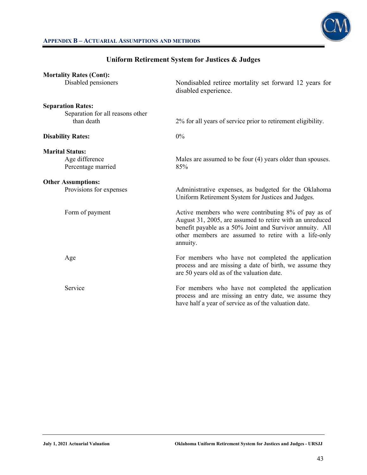

### **APPENDIX B – ACTUARIAL ASSUMPTIONS AND METHODS**

| <b>Mortality Rates (Cont):</b>   |                                                                                                                                                                                                                                                  |  |  |  |  |  |
|----------------------------------|--------------------------------------------------------------------------------------------------------------------------------------------------------------------------------------------------------------------------------------------------|--|--|--|--|--|
| Disabled pensioners              | Nondisabled retiree mortality set forward 12 years for<br>disabled experience.                                                                                                                                                                   |  |  |  |  |  |
| <b>Separation Rates:</b>         |                                                                                                                                                                                                                                                  |  |  |  |  |  |
| Separation for all reasons other |                                                                                                                                                                                                                                                  |  |  |  |  |  |
| than death                       | 2% for all years of service prior to retirement eligibility.                                                                                                                                                                                     |  |  |  |  |  |
| <b>Disability Rates:</b>         | $0\%$                                                                                                                                                                                                                                            |  |  |  |  |  |
| <b>Marital Status:</b>           |                                                                                                                                                                                                                                                  |  |  |  |  |  |
| Age difference                   | Males are assumed to be four (4) years older than spouses.                                                                                                                                                                                       |  |  |  |  |  |
| Percentage married               | 85%                                                                                                                                                                                                                                              |  |  |  |  |  |
| <b>Other Assumptions:</b>        |                                                                                                                                                                                                                                                  |  |  |  |  |  |
| Provisions for expenses          | Administrative expenses, as budgeted for the Oklahoma<br>Uniform Retirement System for Justices and Judges.                                                                                                                                      |  |  |  |  |  |
| Form of payment                  | Active members who were contributing 8% of pay as of<br>August 31, 2005, are assumed to retire with an unreduced<br>benefit payable as a 50% Joint and Survivor annuity. All<br>other members are assumed to retire with a life-only<br>annuity. |  |  |  |  |  |
| Age                              | For members who have not completed the application<br>process and are missing a date of birth, we assume they<br>are 50 years old as of the valuation date.                                                                                      |  |  |  |  |  |
| Service                          | For members who have not completed the application<br>process and are missing an entry date, we assume they<br>have half a year of service as of the valuation date.                                                                             |  |  |  |  |  |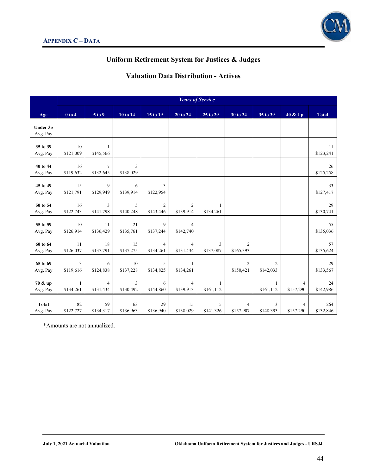

# **Valuation Data Distribution - Actives**

|                          | <b>Years of Service</b>      |                             |                 |                             |                             |                           |                             |                           |                             |                  |
|--------------------------|------------------------------|-----------------------------|-----------------|-----------------------------|-----------------------------|---------------------------|-----------------------------|---------------------------|-----------------------------|------------------|
| Age                      | $0$ to $4$                   | 5 to 9                      | 10 to 14        | 15 to 19                    | 20 to 24                    | 25 to 29                  | 30 to 34                    | 35 to 39                  | 40 & Up                     | <b>Total</b>     |
| Under 35<br>Avg. Pay     |                              |                             |                 |                             |                             |                           |                             |                           |                             |                  |
| 35 to 39<br>Avg. Pay     | 10 <sup>1</sup><br>\$121,009 | $\mathbf{1}$<br>\$145,566   |                 |                             |                             |                           |                             |                           |                             | 11<br>\$123,241  |
| 40 to 44<br>Avg. Pay     | 16<br>\$119,632              | $\overline{7}$<br>\$132,645 | 3<br>\$138,029  |                             |                             |                           |                             |                           |                             | 26<br>\$125,258  |
| 45 to 49<br>Avg. Pay     | 15<br>\$121,791              | $\mathbf{Q}$<br>\$129,949   | 6<br>\$139,914  | 3<br>\$122,954              |                             |                           |                             |                           |                             | 33<br>\$127,417  |
| 50 to 54<br>Avg. Pay     | 16<br>\$122,743              | 3<br>\$141,798              | 5<br>\$140,248  | $\overline{c}$<br>\$143,446 | $\overline{2}$<br>\$139,914 | 1<br>\$134,261            |                             |                           |                             | 29<br>\$130,741  |
| 55 to 59<br>Avg. Pay     | 10<br>\$126,914              | 11<br>\$136,429             | 21<br>\$135,761 | 9<br>\$137,244              | $\overline{4}$<br>\$142,740 |                           |                             |                           |                             | 55<br>\$135,036  |
| 60 to 64<br>Avg. Pay     | 11<br>\$126,037              | 18<br>\$137,791             | 15<br>\$137,275 | $\overline{4}$<br>\$134,261 | $\overline{4}$<br>\$131,434 | 3<br>\$137,087            | $\overline{2}$<br>\$165,393 |                           |                             | 57<br>\$135,624  |
| 65 to 69<br>Avg. Pay     | $\overline{3}$<br>\$119,616  | 6<br>\$124,838              | 10<br>\$137,228 | 5<br>\$134,825              | -1<br>\$134,261             |                           | $\overline{2}$<br>\$150,421 | 2<br>\$142,033            |                             | 29<br>\$133,567  |
| 70 & up<br>Avg. Pay      | $\mathbf{1}$<br>\$134,261    | $\overline{4}$<br>\$131,434 | 3<br>\$130,492  | 6<br>\$144,860              | $\overline{4}$<br>\$139,913 | $\mathbf{1}$<br>\$161,112 |                             | $\mathbf{1}$<br>\$161,112 | $\overline{4}$<br>\$157,290 | 24<br>\$142,986  |
| <b>Total</b><br>Avg. Pay | 82<br>\$122,727              | 59<br>\$134,317             | 63<br>\$136,963 | 29<br>\$136,940             | 15<br>\$138,029             | 5<br>\$141,326            | $\overline{4}$<br>\$157,907 | 3<br>\$148,393            | $\overline{4}$<br>\$157,290 | 264<br>\$132,846 |

\*Amounts are not annualized.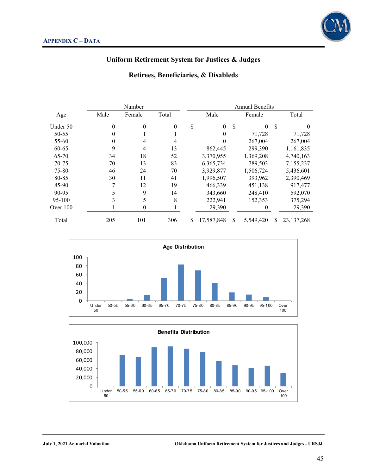

### **Retirees, Beneficiaries, & Disableds**

|            |      | Number   |          | <b>Annual Benefits</b> |            |    |           |               |              |
|------------|------|----------|----------|------------------------|------------|----|-----------|---------------|--------------|
| Age        | Male | Female   | Total    |                        | Male       |    | Female    | Total         |              |
| Under 50   | 0    | $\Omega$ | $\Omega$ | \$                     | $\Omega$   | \$ | $\Omega$  | <sup>\$</sup> | $\theta$     |
| 50-55      |      |          |          |                        | 0          |    | 71.728    |               | 71,728       |
| 55-60      | 0    |          |          |                        |            |    | 267,004   |               | 267,004      |
| 60-65      | 9    | 4        | 13       |                        | 862,445    |    | 299,390   |               | 1,161,835    |
| 65-70      | 34   | 18       | 52       |                        | 3,370,955  |    | 1,369,208 |               | 4,740,163    |
| 70-75      | 70   | 13       | 83       |                        | 6,365,734  |    | 789,503   |               | 7,155,237    |
| 75-80      | 46   | 24       | 70       |                        | 3,929,877  |    | 1,506,724 |               | 5,436,601    |
| 80-85      | 30   | 11       | 41       |                        | 1,996,507  |    | 393,962   |               | 2,390,469    |
| 85-90      | 7    | 12       | 19       |                        | 466,339    |    | 451,138   |               | 917,477      |
| 90-95      |      | 9        | 14       |                        | 343,660    |    | 248,410   |               | 592,070      |
| 95-100     | 3    | 5        | 8        |                        | 222,941    |    | 152,353   |               | 375,294      |
| Over $100$ |      | $\theta$ |          |                        | 29,390     |    | $\theta$  |               | 29,390       |
| Total      | 205  | 101      | 306      | \$                     | 17,587,848 | S  | 5,549,420 | S             | 23, 137, 268 |



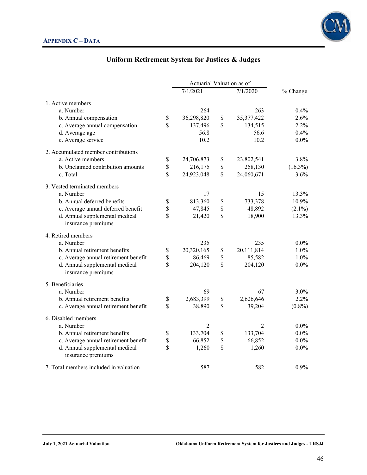

|                                                      | Actuarial Valuation as of |             |              |            |
|------------------------------------------------------|---------------------------|-------------|--------------|------------|
|                                                      | 7/1/2021                  |             | 7/1/2020     | % Change   |
| 1. Active members                                    |                           |             |              |            |
| a. Number                                            | 264                       |             | 263          | $0.4\%$    |
| b. Annual compensation                               | \$<br>36,298,820          | \$          | 35, 377, 422 | 2.6%       |
| c. Average annual compensation                       | \$<br>137,496             | \$          | 134,515      | 2.2%       |
| d. Average age                                       | 56.8                      |             | 56.6         | 0.4%       |
| e. Average service                                   | 10.2                      |             | 10.2         | $0.0\%$    |
| 2. Accumulated member contributions                  |                           |             |              |            |
| a. Active members                                    | \$<br>24,706,873          | \$          | 23,802,541   | 3.8%       |
| b. Unclaimed contribution amounts                    | \$<br>216,175             | \$          | 258,130      | $(16.3\%)$ |
| c. Total                                             | \$<br>24,923,048          | $\mathbf S$ | 24,060,671   | 3.6%       |
| 3. Vested terminated members                         |                           |             |              |            |
| a. Number                                            | 17                        |             | 15           | 13.3%      |
| b. Annual deferred benefits                          | \$<br>813,360             | \$          | 733,378      | 10.9%      |
| c. Average annual deferred benefit                   | \$<br>47,845              | \$          | 48,892       | $(2.1\%)$  |
| d. Annual supplemental medical<br>insurance premiums | \$<br>21,420              | \$          | 18,900       | 13.3%      |
| 4. Retired members                                   |                           |             |              |            |
| a. Number                                            | 235                       |             | 235          | $0.0\%$    |
| b. Annual retirement benefits                        | \$<br>20,320,165          | \$          | 20,111,814   | $1.0\%$    |
| c. Average annual retirement benefit                 | \$<br>86,469              | \$          | 85,582       | $1.0\%$    |
| d. Annual supplemental medical<br>insurance premiums | \$<br>204,120             | \$          | 204,120      | $0.0\%$    |
| 5. Beneficiaries                                     |                           |             |              |            |
| a. Number                                            | 69                        |             | 67           | 3.0%       |
| b. Annual retirement benefits                        | \$<br>2,683,399           | \$          | 2,626,646    | 2.2%       |
| c. Average annual retirement benefit                 | \$<br>38,890              | \$          | 39,204       | $(0.8\%)$  |
| 6. Disabled members                                  |                           |             |              |            |
| a. Number                                            | 2                         |             | 2            | $0.0\%$    |
| b. Annual retirement benefits                        | \$<br>133,704             | \$          | 133,704      | $0.0\%$    |
| c. Average annual retirement benefit                 | \$<br>66,852              | \$          | 66,852       | $0.0\%$    |
| d. Annual supplemental medical<br>insurance premiums | \$<br>1,260               | \$          | 1,260        | $0.0\%$    |
| 7. Total members included in valuation               | 587                       |             | 582          | 0.9%       |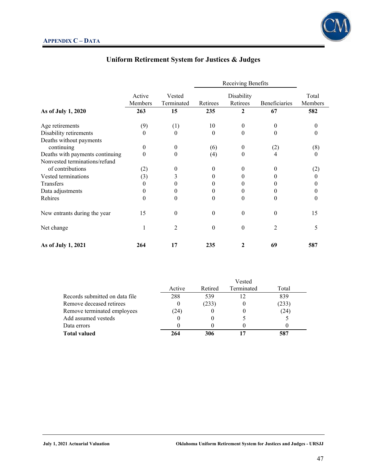

|                                       |                   | Vested<br>Terminated | Receiving Benefits |                        |               |                  |
|---------------------------------------|-------------------|----------------------|--------------------|------------------------|---------------|------------------|
|                                       | Active<br>Members |                      | Retirees           | Disability<br>Retirees | Beneficiaries | Total<br>Members |
| As of July 1, 2020                    | 263               | 15                   | 235                | 2                      | 67            | 582              |
| Age retirements                       | (9)               | (1)                  | 10                 | $\theta$               | $\theta$      | $\theta$         |
| Disability retirements                | 0                 | 0                    | $\Omega$           | $\overline{0}$         | 0             | $\theta$         |
| Deaths without payments<br>continuing | 0                 | $^{(1)}$             | (6)                | $\boldsymbol{0}$       | (2)           | (8)              |
| Deaths with payments continuing       | $\theta$          | 0                    | (4)                | $\theta$               | 4             | $\theta$         |
| Nonvested terminations/refund         |                   |                      |                    |                        |               |                  |
| of contributions                      | (2)               | 0                    | $\theta$           | $\theta$               | $\theta$      | (2)              |
| Vested terminations                   | (3)               | 3                    | 0                  | $\theta$               | 0             | $\theta$         |
| Transfers                             | 0                 | 0                    | 0                  | $\theta$               | 0             | $\theta$         |
| Data adjustments                      | $_{0}$            | $^{(1)}$             | 0                  | $\theta$               |               |                  |
| Rehires                               | 0                 | 0                    | $\theta$           | $\overline{0}$         | 0             | 0                |
| New entrants during the year          | 15                | $\boldsymbol{0}$     | $\Omega$           | $\theta$               | $\Omega$      | 15               |
| Net change                            | 1                 | 2                    | $\Omega$           | $\overline{0}$         | 2             | 5                |
| As of July 1, 2021                    | 264               | 17                   | 235                | $\mathbf{2}$           | 69            | 587              |

|                                |        |         | Vested     |       |  |
|--------------------------------|--------|---------|------------|-------|--|
|                                | Active | Retired | Terminated | Total |  |
| Records submitted on data file | 288    | 539     |            | 839   |  |
| Remove deceased retirees       |        | (233)   |            | (233) |  |
| Remove terminated employees    | (24)   |         |            | (24)  |  |
| Add assumed vesteds            |        |         |            |       |  |
| Data errors                    |        |         |            |       |  |
| <b>Total valued</b>            | 264    | 306     |            |       |  |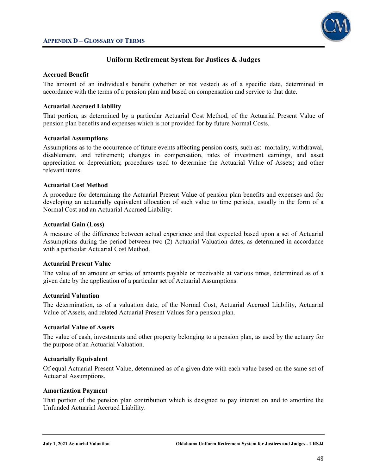

### **Accrued Benefit**

The amount of an individual's benefit (whether or not vested) as of a specific date, determined in accordance with the terms of a pension plan and based on compensation and service to that date.

#### **Actuarial Accrued Liability**

That portion, as determined by a particular Actuarial Cost Method, of the Actuarial Present Value of pension plan benefits and expenses which is not provided for by future Normal Costs.

#### **Actuarial Assumptions**

Assumptions as to the occurrence of future events affecting pension costs, such as: mortality, withdrawal, disablement, and retirement; changes in compensation, rates of investment earnings, and asset appreciation or depreciation; procedures used to determine the Actuarial Value of Assets; and other relevant items.

#### **Actuarial Cost Method**

A procedure for determining the Actuarial Present Value of pension plan benefits and expenses and for developing an actuarially equivalent allocation of such value to time periods, usually in the form of a Normal Cost and an Actuarial Accrued Liability.

#### **Actuarial Gain (Loss)**

A measure of the difference between actual experience and that expected based upon a set of Actuarial Assumptions during the period between two (2) Actuarial Valuation dates, as determined in accordance with a particular Actuarial Cost Method.

#### **Actuarial Present Value**

The value of an amount or series of amounts payable or receivable at various times, determined as of a given date by the application of a particular set of Actuarial Assumptions.

#### **Actuarial Valuation**

The determination, as of a valuation date, of the Normal Cost, Actuarial Accrued Liability, Actuarial Value of Assets, and related Actuarial Present Values for a pension plan.

#### **Actuarial Value of Assets**

The value of cash, investments and other property belonging to a pension plan, as used by the actuary for the purpose of an Actuarial Valuation.

### **Actuarially Equivalent**

Of equal Actuarial Present Value, determined as of a given date with each value based on the same set of Actuarial Assumptions.

#### **Amortization Payment**

That portion of the pension plan contribution which is designed to pay interest on and to amortize the Unfunded Actuarial Accrued Liability.